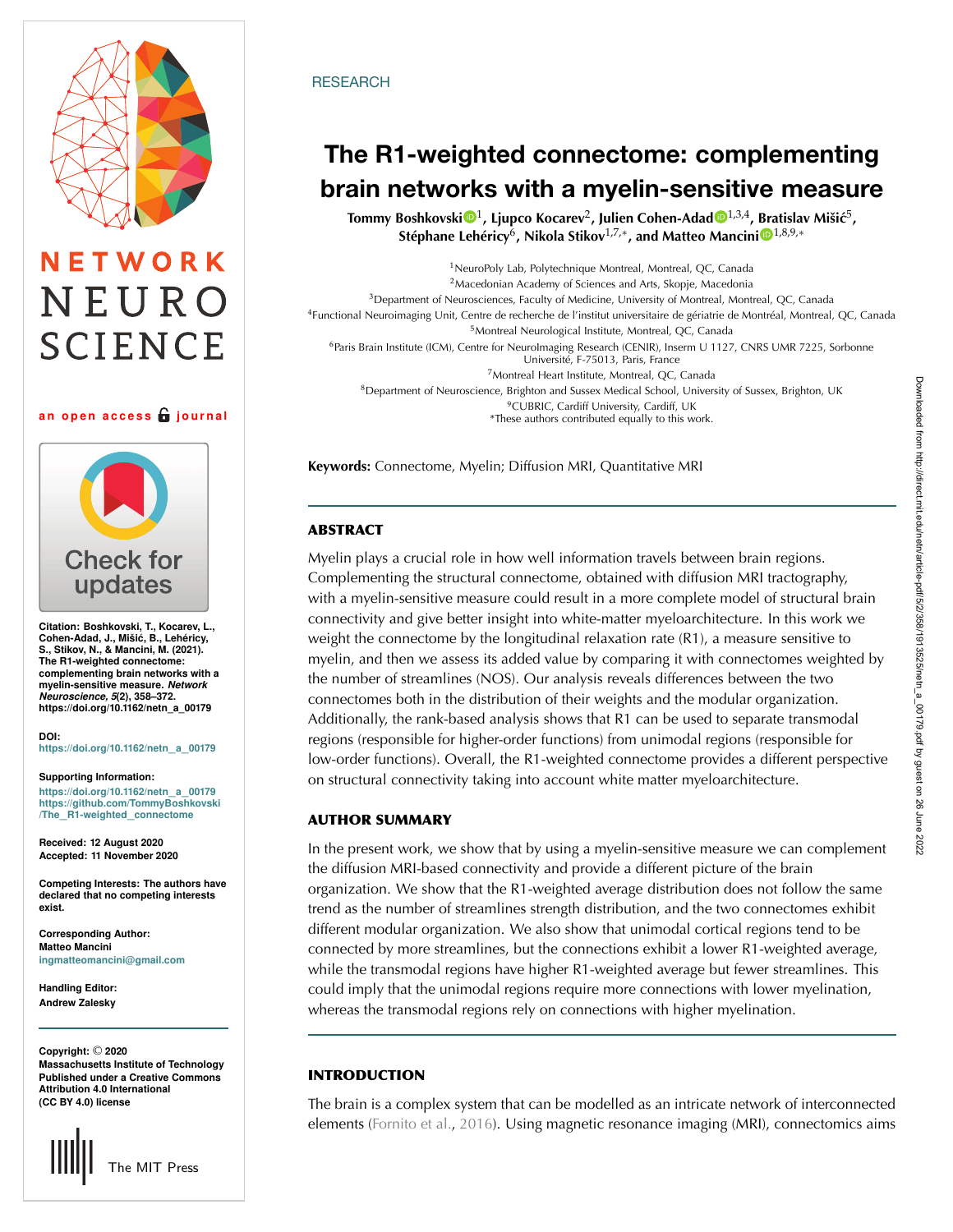# NETWORK NEURO **SCIENCE**

**an open access journal**



**Citation: Boshkovski, T., Kocarev, L., Cohen-Adad, J., Mišic, B., Lehéricy, ´ S., Stikov, N., & Mancini, M. (2021). The R1-weighted connectome: complementing brain networks with a myelin-sensitive measure.** *Network Neuroscience, 5***(2), 358–372. https://doi.org/10.1162/netn\_a\_00179**

**DOI: [https://doi.org/10.1162/netn](https://doi.org/10.1162/netn_a_00179)**\_**a**\_**<sup>00179</sup>**

**Supporting Information: [https://doi.org/10.1162/netn](https://doi.org/10.1162/netn_a_00179)**\_**a**\_**<sup>00179</sup> [https://github.com/TommyBoshkovski](https://github.com/TommyBoshkovski/The_R1-weighted_connectome) /The**\_**[R1-weighted](https://github.com/TommyBoshkovski/The_R1-weighted_connectome)**\_**connectome**

**Received: 12 August 2020 Accepted: 11 November 2020**

**Competing Interests: The authors have declared that no competing interests exist.**

**Corresponding Author: Matteo Mancini [ingmatteomancini@gmail.com](mailto:ingmatteomancini@gmail.com)**

**Handling Editor: Andrew Zalesky**

**Massachusetts Institute of Technology Published under a Creative Commons Attribution 4.0 International (CC BY 4.0) license Copyright:** © **2020**



### **RESEARCH**

# **The R1-weighted connectome: complementing brain networks with a myelin-sensitive measure**

**Tommy Boshkovski** [1](https://orcid.org/0000-0002-5243-5204)**, Ljupco Kocarev**2**, Julien Cohen-Adad** [1](https://orcid.org/0000-0003-3662-9532),3,4**, [Bra](https://orcid.org/0000-0001-7194-4568)tislav Mišic´**5**, Stéphane Lehéricy**6**, Nikola Stikov**1,7,∗**, and Matteo Mancini** 1,8,9,<sup>∗</sup>

NeuroPoly Lab, Polytechnique Montreal, Montreal, QC, Canada Macedonian Academy of Sciences and Arts, Skopje, Macedonia Department of Neurosciences, Faculty of Medicine, University of Montreal, Montreal, QC, Canada Functional Neuroimaging Unit, Centre de recherche de l'institut universitaire de gériatrie de Montréal, Montreal, QC, Canada Montreal Neurological Institute, Montreal, QC, Canada Paris Brain Institute (ICM), Centre for NeuroImaging Research (CENIR), Inserm U 1127, CNRS UMR 7225, Sorbonne Université, F-75013, Paris, France

Montreal Heart Institute, Montreal, QC, Canada Department of Neuroscience, Brighton and Sussex Medical School, University of Sussex, Brighton, UK CUBRIC, Cardiff University, Cardiff, UK \*These authors contributed equally to this work.

**Keywords:** Connectome, Myelin; Diffusion MRI, Quantitative MRI

# **ABSTRACT**

Myelin plays a crucial role in how well information travels between brain regions. Complementing the structural connectome, obtained with diffusion MRI tractography, with a myelin-sensitive measure could result in a more complete model of structural brain connectivity and give better insight into white-matter myeloarchitecture. In this work we weight the connectome by the longitudinal relaxation rate (R1), a measure sensitive to myelin, and then we assess its added value by comparing it with connectomes weighted by the number of streamlines (NOS). Our analysis reveals differences between the two connectomes both in the distribution of their weights and the modular organization. Additionally, the rank-based analysis shows that R1 can be used to separate transmodal regions (responsible for higher-order functions) from unimodal regions (responsible for low-order functions). Overall, the R1-weighted connectome provides a different perspective on structural connectivity taking into account white matter myeloarchitecture.

# **AUTHOR SUMMARY**

In the present work, we show that by using a myelin-sensitive measure we can complement the diffusion MRI-based connectivity and provide a different picture of the brain organization. We show that the R1-weighted average distribution does not follow the same trend as the number of streamlines strength distribution, and the two connectomes exhibit different modular organization. We also show that unimodal cortical regions tend to be connected by more streamlines, but the connections exhibit a lower R1-weighted average, while the transmodal regions have higher R1-weighted average but fewer streamlines. This could imply that the unimodal regions require more connections with lower myelination, whereas the transmodal regions rely on connections with higher myelination.

# **INTRODUCTION**

The brain is a complex system that can be modelled as an intricate network of interconnected elements [\(Fornito et al.](#page-11-0), [2016\)](#page-11-0). Using magnetic resonance imaging (MRI), connectomics aims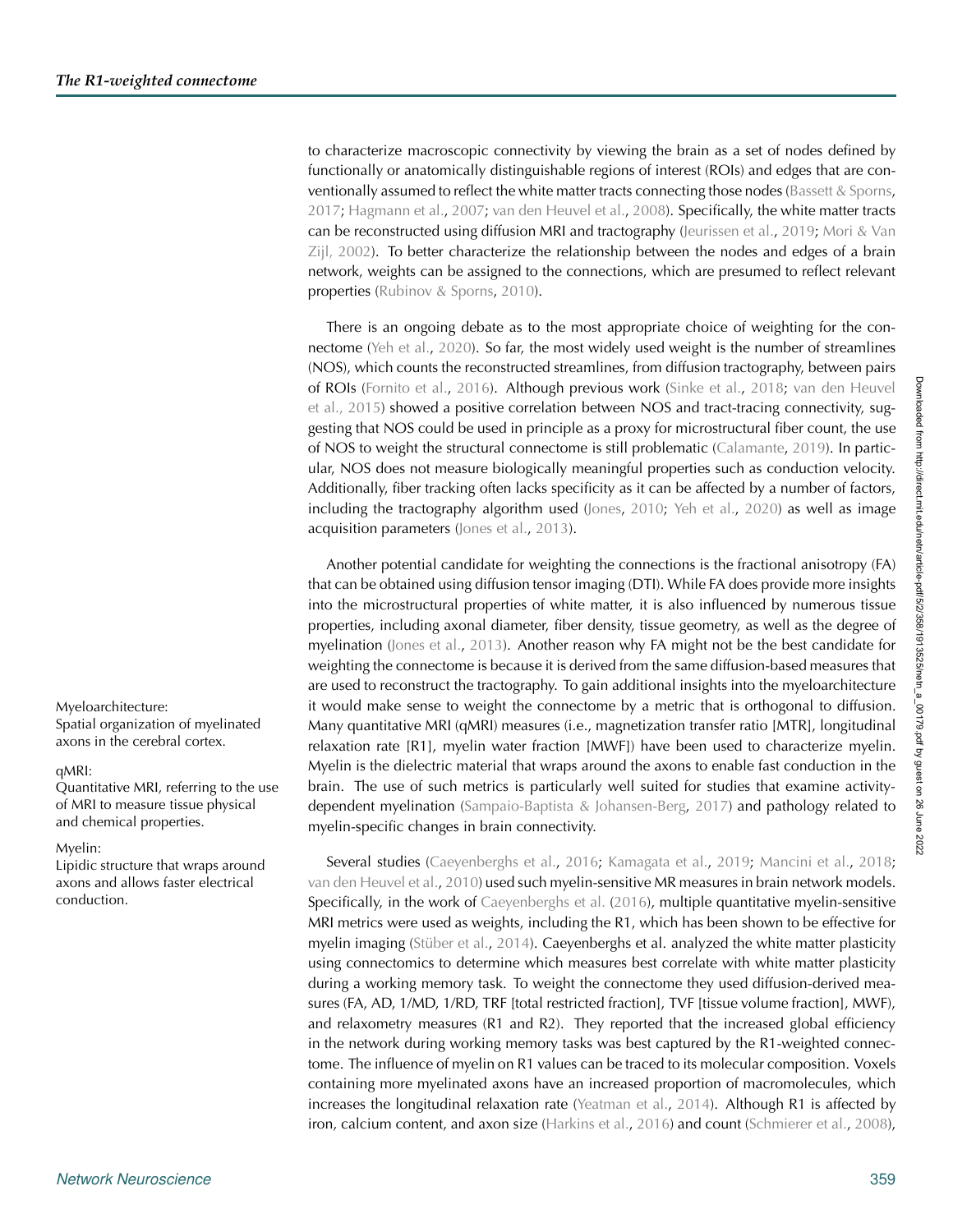to characterize macroscopic connectivity by viewing the brain as a set of nodes defined by functionally or anatomically distinguishable regions of interest (ROIs) and edges that are conventionally assumed to reflect the white matter tracts connecting those nodes [\(Bassett & Sporns](#page-11-1), [2017](#page-11-1); [Hagmann et al.,](#page-12-0) [2007;](#page-12-0) [van den Heuvel et al.,](#page-14-0) [2008\)](#page-14-0). Specifically, the white matter tracts can be reconstructed using diffusion MRI and tractography [\(Jeurissen et al.](#page-12-1), [2019;](#page-12-1) [Mori & Van](#page-13-0) [Zijl,](#page-13-0) [2002\)](#page-13-1). To better characterize the relationship between the nodes and edges of a brain network, weights can be assigned to the connections, which are presumed to reflect relevant properties [\(Rubinov & Sporns](#page-13-2), [2010](#page-13-2)).

There is an ongoing debate as to the most appropriate choice of weighting for the connectome [\(Yeh et al.](#page-14-1), [2020](#page-14-1)). So far, the most widely used weight is the number of streamlines (NOS), which counts the reconstructed streamlines, from diffusion tractography, between pairs of ROIs [\(Fornito et al.,](#page-11-0) [2016\)](#page-11-0). Although previous work [\(Sinke et al.,](#page-13-3) [2018;](#page-13-3) [van den Heuvel](#page-14-2) [et al.,](#page-14-2) [2015\)](#page-14-3) showed a positive correlation between NOS and tract-tracing connectivity, suggesting that NOS could be used in principle as a proxy for microstructural fiber count, the use of NOS to weight the structural connectome is still problematic [\(Calamante](#page-11-2), [2019\)](#page-11-2). In particular, NOS does not measure biologically meaningful properties such as conduction velocity. Additionally, fiber tracking often lacks specificity as it can be affected by a number of factors, including the tractography algorithm used [\(Jones](#page-12-2), [2010;](#page-12-2) [Yeh et al.,](#page-14-1) [2020\)](#page-14-1) as well as image acquisition parameters [\(Jones et al.,](#page-12-3) [2013\)](#page-12-3).

Another potential candidate for weighting the connections is the fractional anisotropy (FA) that can be obtained using diffusion tensor imaging (DTI). While FA does provide more insights into the microstructural properties of white matter, it is also influenced by numerous tissue properties, including axonal diameter, fiber density, tissue geometry, as well as the degree of myelination [\(Jones et al.](#page-12-3), [2013](#page-12-3)). Another reason why FA might not be the best candidate for weighting the connectome is because it is derived from the same diffusion-based measures that are used to reconstruct the tractography. To gain additional insights into the myeloarchitecture Myeloarchitecture: it would make sense to weight the connectome by a metric that is orthogonal to diffusion. Many quantitative MRI (qMRI) measures (i.e., magnetization transfer ratio [MTR], longitudinal relaxation rate [R1], myelin water fraction [MWF]) have been used to characterize myelin. Myelin is the dielectric material that wraps around the axons to enable fast conduction in the brain. The use of such metrics is particularly well suited for studies that examine activitydependent myelination [\(Sampaio-Baptista & Johansen-Berg,](#page-13-4) [2017](#page-13-4)) and pathology related to myelin-specific changes in brain connectivity.

Myelin: Lipidic structure that wraps around axons and allows faster electrical conduction.

Spatial organization of myelinated axons in the cerebral cortex.

Quantitative MRI, referring to the use of MRI to measure tissue physical and chemical properties.

qMRI:

Several studies [\(Caeyenberghs et al.](#page-11-3), [2016;](#page-11-3) [Kamagata et al.,](#page-12-4) [2019](#page-12-4); [Mancini et al.](#page-12-5), [2018](#page-12-5); [van den Heuvel et al.,](#page-14-4) [2010](#page-14-4)) used such myelin-sensitive MR measures in brain network models. Specifically, in the work of [Caeyenberghs et al.](#page-11-3) [\(2016\)](#page-11-3), multiple quantitative myelin-sensitive MRI metrics were used as weights, including the R1, which has been shown to be effective for myelin imaging [\(Stüber et al.](#page-13-5), [2014](#page-13-5)). Caeyenberghs et al. analyzed the white matter plasticity using connectomics to determine which measures best correlate with white matter plasticity during a working memory task. To weight the connectome they used diffusion-derived measures (FA, AD, 1/MD, 1/RD, TRF [total restricted fraction], TVF [tissue volume fraction], MWF), and relaxometry measures (R1 and R2). They reported that the increased global efficiency in the network during working memory tasks was best captured by the R1-weighted connectome. The influence of myelin on R1 values can be traced to its molecular composition. Voxels containing more myelinated axons have an increased proportion of macromolecules, which increases the longitudinal relaxation rate [\(Yeatman et al.](#page-14-5), [2014](#page-14-5)). Although R1 is affected by iron, calcium content, and axon size [\(Harkins et al.](#page-12-6), [2016\)](#page-12-6) and count [\(Schmierer et al.](#page-13-6), [2008\)](#page-13-6),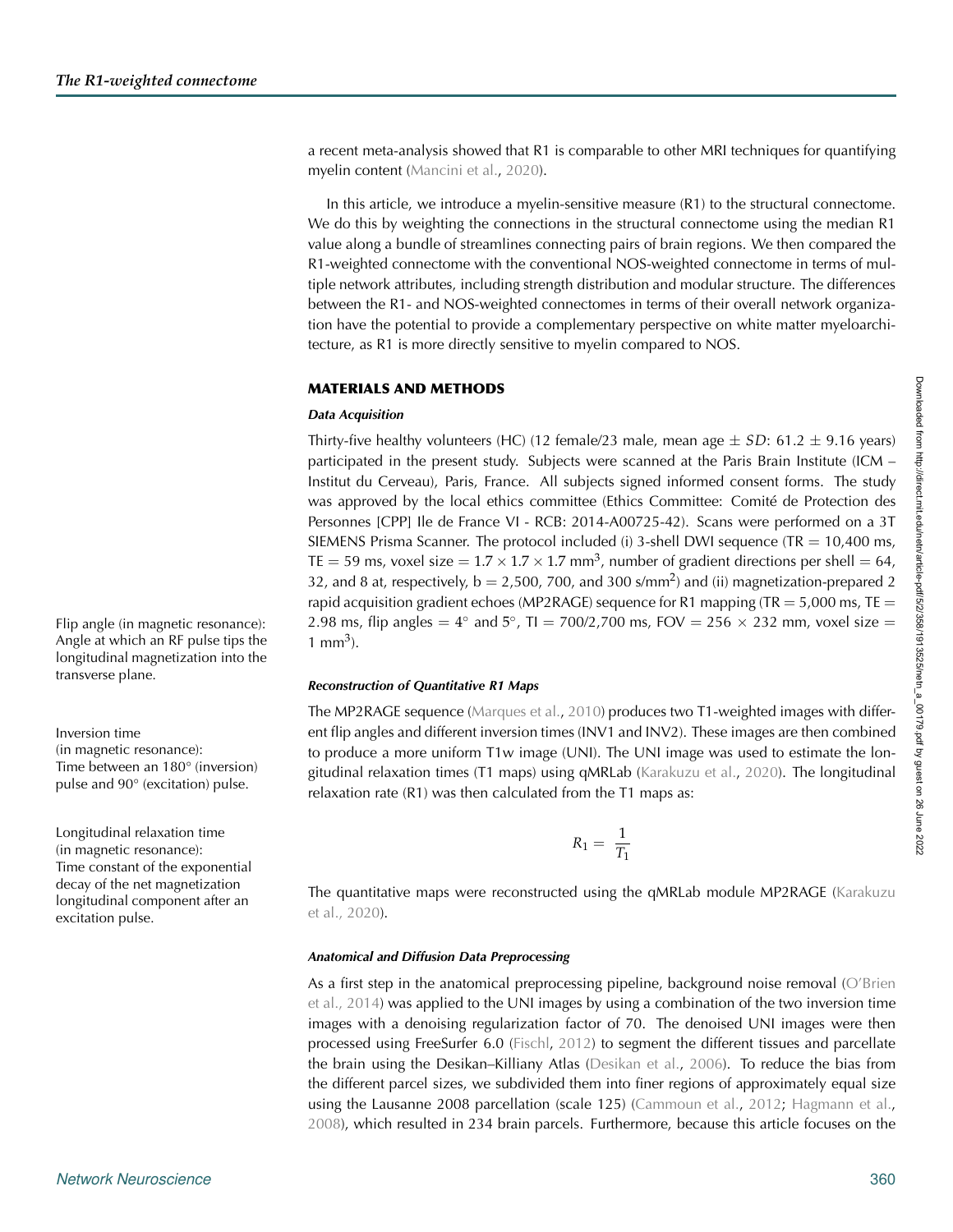Angle at which an RF pulse tips the longitudinal magnetization into the

Time between an 180° (inversion) pulse and 90° (excitation) pulse.

transverse plane.

excitation pulse.

(in magnetic resonance):

Longitudinal relaxation time (in magnetic resonance): Time constant of the exponential decay of the net magnetization longitudinal component after an

a recent meta-analysis showed that R1 is comparable to other MRI techniques for quantifying myelin content [\(Mancini et al.](#page-12-7), [2020](#page-12-7)).

In this article, we introduce a myelin-sensitive measure (R1) to the structural connectome. We do this by weighting the connections in the structural connectome using the median R1 value along a bundle of streamlines connecting pairs of brain regions. We then compared the R1-weighted connectome with the conventional NOS-weighted connectome in terms of multiple network attributes, including strength distribution and modular structure. The differences between the R1- and NOS-weighted connectomes in terms of their overall network organization have the potential to provide a complementary perspective on white matter myeloarchitecture, as R1 is more directly sensitive to myelin compared to NOS.

#### **MATERIALS AND METHODS**

#### *Data Acquisition*

Thirty-five healthy volunteers (HC) (12 female/23 male, mean age  $\pm SD$ : 61.2  $\pm$  9.16 years) participated in the present study. Subjects were scanned at the Paris Brain Institute (ICM – Institut du Cerveau), Paris, France. All subjects signed informed consent forms. The study was approved by the local ethics committee (Ethics Committee: Comité de Protection des Personnes [CPP] Ile de France VI - RCB: 2014-A00725-42). Scans were performed on a 3T SIEMENS Prisma Scanner. The protocol included (i) 3-shell DWI sequence (TR  $= 10,400$  ms, TE = 59 ms, voxel size =  $1.7 \times 1.7 \times 1.7$  mm<sup>3</sup>, number of gradient directions per shell = 64, 32, and 8 at, respectively,  $b = 2,500,700$ , and 300 s/mm<sup>2</sup>) and (ii) magnetization-prepared 2 rapid acquisition gradient echoes (MP2RAGE) sequence for R1 mapping (TR  $=$  5,000 ms, TE  $=$ Flip angle (in magnetic resonance):  $\qquad 2.98 \text{ ms}$ , flip angles =  $4^\circ$  and  $5^\circ$ , TI = 700/2,700 ms, FOV = 256  $\times$  232 mm, voxel size = 1 mm<sup>3</sup>).

#### *Reconstruction of Quantitative R1 Maps*

The MP2RAGE sequence [\(Marques et al.](#page-13-7), [2010](#page-13-7)) produces two T1-weighted images with differ-Inversion time ent flip angles and different inversion times (INV1 and INV2). These images are then combined to produce a more uniform T1w image (UNI). The UNI image was used to estimate the longitudinal relaxation times (T1 maps) using qMRLab [\(Karakuzu et al.](#page-12-8), [2020](#page-12-8)). The longitudinal relaxation rate (R1) was then calculated from the T1 maps as:

$$
R_1 = \frac{1}{T_1}
$$

The quantitative maps were reconstructed using the qMRLab module MP2RAGE [\(Karakuzu](#page-12-9) [et al.,](#page-12-9) [2020](#page-12-8)).

#### *Anatomical and Diffusion Data Preprocessing*

As a first step in the anatomical preprocessing pipeline, background noise removal [\(O'Brien](#page-13-8) [et al.,](#page-13-8) [2014](#page-13-9)) was applied to the UNI images by using a combination of the two inversion time images with a denoising regularization factor of 70. The denoised UNI images were then processed using FreeSurfer 6.0 [\(Fischl](#page-11-4), [2012](#page-11-4)) to segment the different tissues and parcellate the brain using the Desikan–Killiany Atlas [\(Desikan et al.,](#page-11-5) [2006](#page-11-5)). To reduce the bias from the different parcel sizes, we subdivided them into finer regions of approximately equal size using the Lausanne 2008 parcellation (scale 125) [\(Cammoun et al.](#page-11-6), [2012](#page-11-6); [Hagmann et al.](#page-12-10), [2008](#page-12-10)), which resulted in 234 brain parcels. Furthermore, because this article focuses on the

Downloaded from http://direct.mit.edu/netri/article-pdf/5/2/358/1913525/netn\_a\_00179.pdf by guest on 26 June 2022 Downloaded from http://direct.mit.edu/netn/article-pdf/5/2/358/1913525/netn\_a\_00179.pdf by guest on 26 June 2022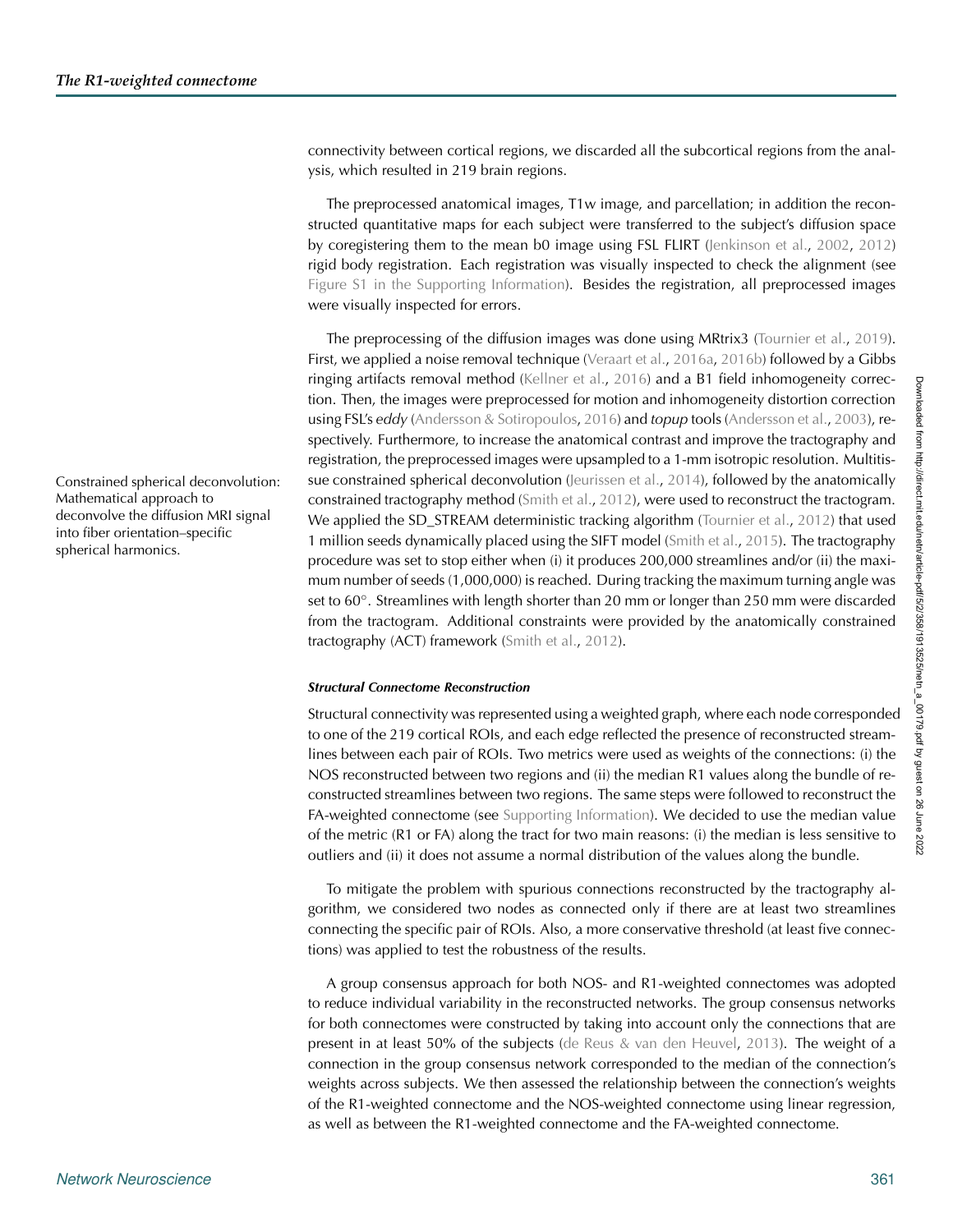connectivity between cortical regions, we discarded all the subcortical regions from the analysis, which resulted in 219 brain regions.

The preprocessed anatomical images, T1w image, and parcellation; in addition the reconstructed quantitative maps for each subject were transferred to the subject's diffusion space by coregistering them to the mean b0 image using FSL FLIRT [\(Jenkinson et al.](#page-12-11), [2002](#page-12-11), [2012](#page-12-12)) rigid body registration. Each registration was visually inspected to check the alignment (see [Figure S1 in the Supporting Information\)](#page-10-0). Besides the registration, all preprocessed images were visually inspected for errors.

The preprocessing of the diffusion images was done using MRtrix3 [\(Tournier et al.,](#page-14-6) [2019\)](#page-14-6). First, we applied a noise removal technique [\(Veraart et al.,](#page-14-7) [2016a,](#page-14-7) [2016b\)](#page-14-8) followed by a Gibbs ringing artifacts removal method [\(Kellner et al.,](#page-12-13) [2016\)](#page-12-13) and a B1 field inhomogeneity correction. Then, the images were preprocessed for motion and inhomogeneity distortion correction using FSL's *eddy* [\(Andersson & Sotiropoulos](#page-11-7), [2016\)](#page-11-7) and *topup* tools [\(Andersson et al.,](#page-11-8) [2003\)](#page-11-8), respectively. Furthermore, to increase the anatomical contrast and improve the tractography and registration, the preprocessed images were upsampled to a 1-mm isotropic resolution. Multitis-Constrained spherical deconvolution: sue constrained spherical deconvolution [\(Jeurissen et al.](#page-12-14), [2014](#page-12-14)), followed by the anatomically constrained tractography method [\(Smith et al.,](#page-13-10) [2012\)](#page-13-10), were used to reconstruct the tractogram. We applied the SD\_STREAM deterministic tracking algorithm [\(Tournier et al.,](#page-14-9) [2012\)](#page-14-9) that used 1 million seeds dynamically placed using the SIFT model [\(Smith et al.](#page-13-11), [2015](#page-13-11)). The tractography procedure was set to stop either when (i) it produces 200,000 streamlines and/or (ii) the maximum number of seeds (1,000,000) is reached. During tracking the maximum turning angle was set to 60°. Streamlines with length shorter than 20 mm or longer than 250 mm were discarded from the tractogram. Additional constraints were provided by the anatomically constrained tractography (ACT) framework [\(Smith et al.,](#page-13-10) [2012](#page-13-10)).

#### *Structural Connectome Reconstruction*

Structural connectivity was represented using a weighted graph, where each node corresponded to one of the 219 cortical ROIs, and each edge reflected the presence of reconstructed streamlines between each pair of ROIs. Two metrics were used as weights of the connections: (i) the NOS reconstructed between two regions and (ii) the median R1 values along the bundle of reconstructed streamlines between two regions. The same steps were followed to reconstruct the FA-weighted connectome (see [Supporting Information\)](#page-10-0). We decided to use the median value of the metric (R1 or FA) along the tract for two main reasons: (i) the median is less sensitive to outliers and (ii) it does not assume a normal distribution of the values along the bundle.

To mitigate the problem with spurious connections reconstructed by the tractography algorithm, we considered two nodes as connected only if there are at least two streamlines connecting the specific pair of ROIs. Also, a more conservative threshold (at least five connections) was applied to test the robustness of the results.

A group consensus approach for both NOS- and R1-weighted connectomes was adopted to reduce individual variability in the reconstructed networks. The group consensus networks for both connectomes were constructed by taking into account only the connections that are present in at least 50% of the subjects [\(de Reus & van den Heuvel,](#page-11-9) [2013\)](#page-11-9). The weight of a connection in the group consensus network corresponded to the median of the connection's weights across subjects. We then assessed the relationship between the connection's weights of the R1-weighted connectome and the NOS-weighted connectome using linear regression, as well as between the R1-weighted connectome and the FA-weighted connectome.

Mathematical approach to deconvolve the diffusion MRI signal into fiber orientation–specific spherical harmonics.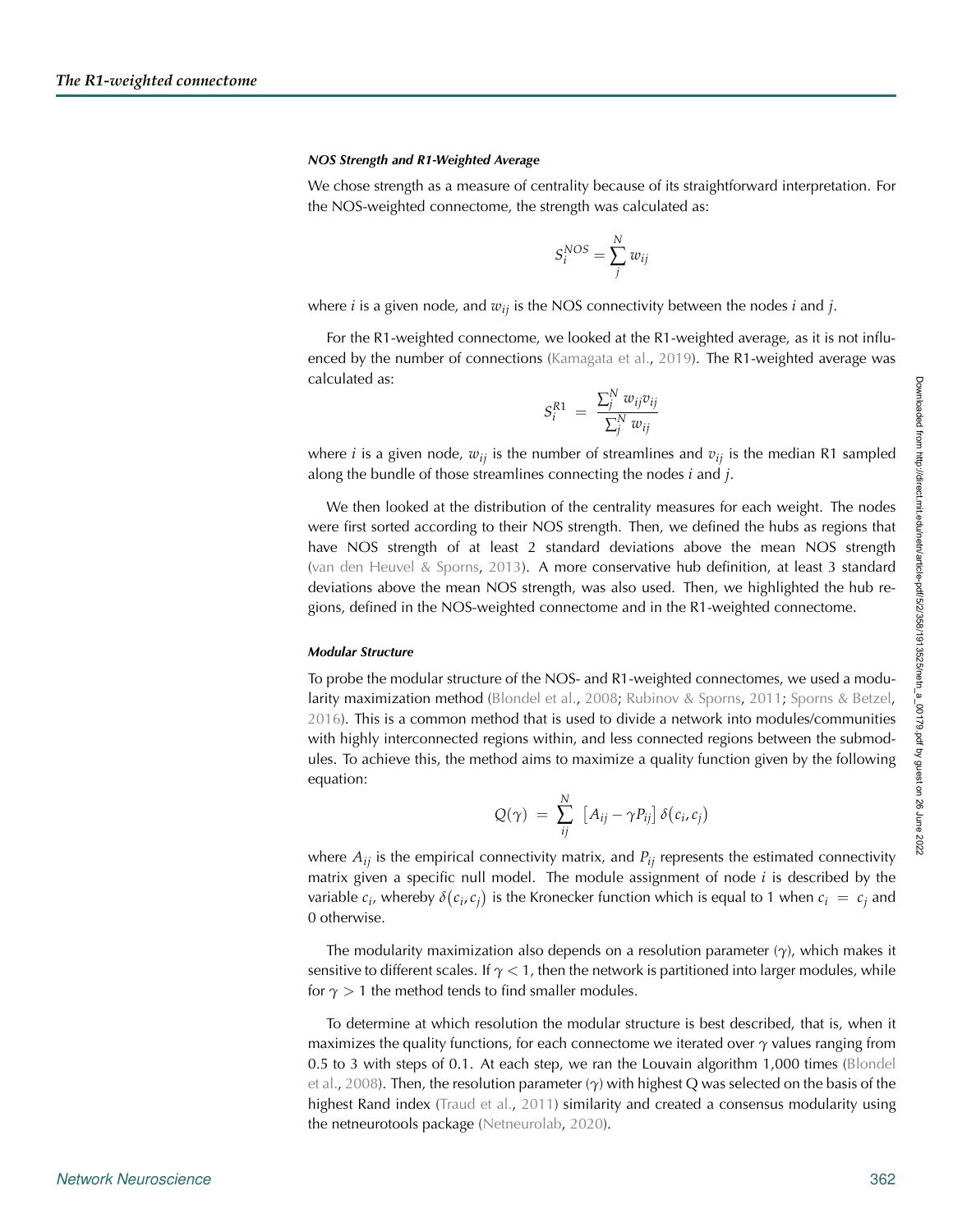#### *NOS Strength and R1-Weighted Average*

We chose strength as a measure of centrality because of its straightforward interpretation. For the NOS-weighted connectome, the strength was calculated as:

$$
S_i^{NOS} = \sum_j^N w_{ij}
$$

where *i* is a given node, and *wij* is the NOS connectivity between the nodes *i* and *j*.

For the R1-weighted connectome, we looked at the R1-weighted average, as it is not influenced by the number of connections [\(Kamagata et al.,](#page-12-4) [2019](#page-12-4)). The R1-weighted average was calculated as:

$$
S_i^{R1} = \frac{\sum_j^N w_{ij}v_{ij}}{\sum_j^N w_{ij}}
$$

where *i* is a given node,  $w_{ii}$  is the number of streamlines and  $v_{ii}$  is the median R1 sampled along the bundle of those streamlines connecting the nodes *i* and *j*.

We then looked at the distribution of the centrality measures for each weight. The nodes were first sorted according to their NOS strength. Then, we defined the hubs as regions that have NOS strength of at least 2 standard deviations above the mean NOS strength [\(van den Heuvel & Sporns,](#page-14-10) [2013](#page-14-10)). A more conservative hub definition, at least 3 standard deviations above the mean NOS strength, was also used. Then, we highlighted the hub regions, defined in the NOS-weighted connectome and in the R1-weighted connectome.

#### *Modular Structure*

To probe the modular structure of the NOS- and R1-weighted connectomes, we used a modularity maximization method [\(Blondel et al.,](#page-11-10) [2008](#page-11-10); [Rubinov & Sporns](#page-13-12), [2011;](#page-13-12) [Sporns & Betzel](#page-13-13), [2016](#page-13-13)). This is a common method that is used to divide a network into modules/communities with highly interconnected regions within, and less connected regions between the submodules. To achieve this, the method aims to maximize a quality function given by the following equation:

$$
Q(\gamma) = \sum_{ij}^{N} [A_{ij} - \gamma P_{ij}] \delta(c_i, c_j)
$$

where  $A_{ij}$  is the empirical connectivity matrix, and  $P_{ij}$  represents the estimated connectivity matrix given a specific null model. The module assignment of node *i* is described by the variable  $c_i$ , whereby  $\delta(c_i, c_j)$  is the Kronecker function which is equal to 1 when  $c_i \ = \ c_j$  and 0 otherwise.

The modularity maximization also depends on a resolution parameter (*γ*), which makes it sensitive to different scales. If  $\gamma$  < 1, then the network is partitioned into larger modules, while for  $\gamma > 1$  the method tends to find smaller modules.

To determine at which resolution the modular structure is best described, that is, when it maximizes the quality functions, for each connectome we iterated over *γ* values ranging from 0.5 t[o 3 with steps of 0.1. At each step, we ran the Louvain algorithm 1,000 times \(](#page-11-10)Blondel et al., [2008](#page-11-10)). Then, the resolution parameter (*γ*) with highest Q was selected on the basis of the highest Rand index [\(Traud et al.](#page-14-11), [2011](#page-14-11)) similarity and created a consensus modularity using the netneurotools package [\(Netneurolab](#page-13-14), [2020\)](#page-13-14).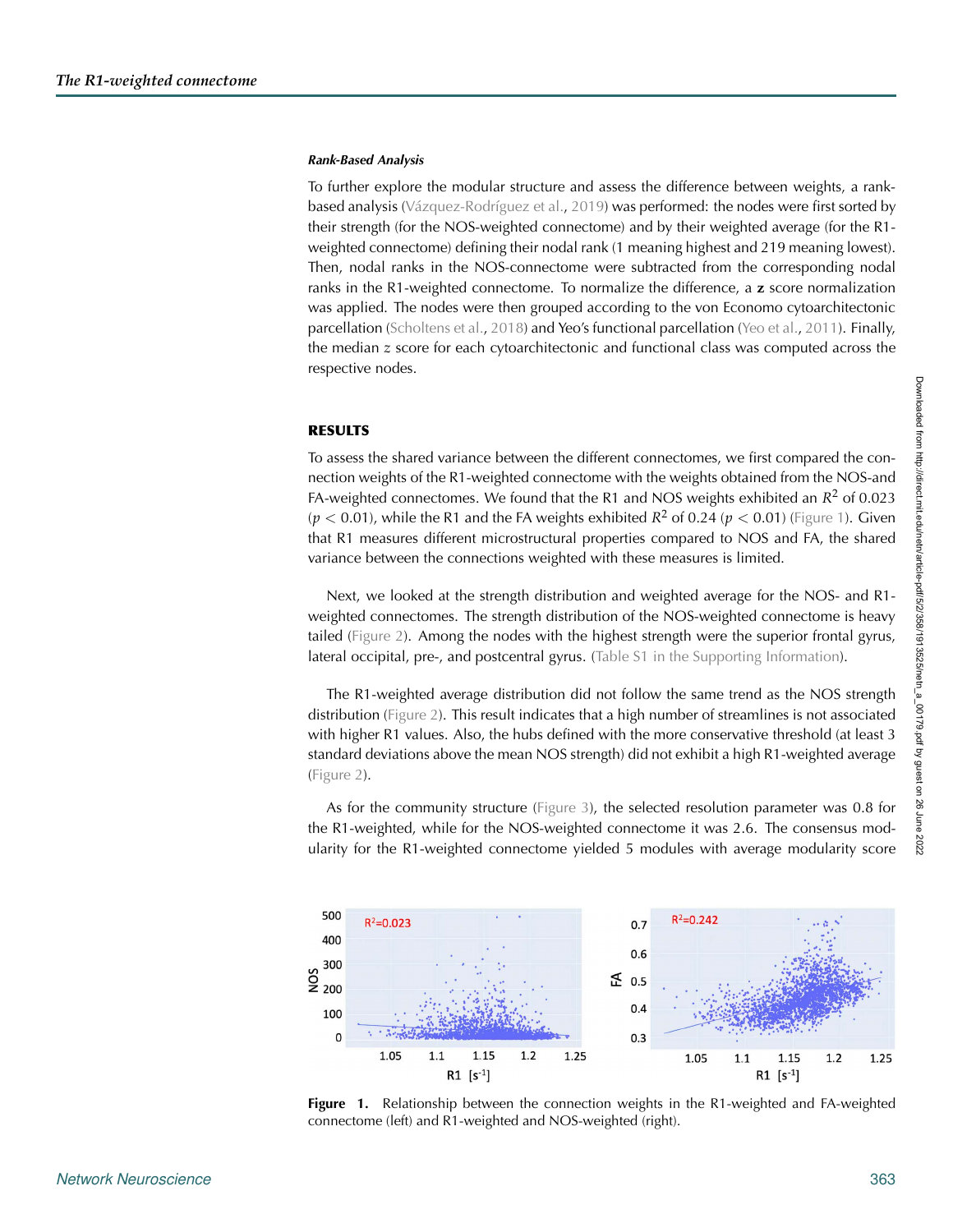#### *Rank-Based Analysis*

To further explore the modular structure and assess the difference between weights, a rankbased analysis [\(Vázquez-Rodríguez et al.](#page-14-12), [2019](#page-14-12)) was performed: the nodes were first sorted by their strength (for the NOS-weighted connectome) and by their weighted average (for the R1 weighted connectome) defining their nodal rank (1 meaning highest and 219 meaning lowest). Then, nodal ranks in the NOS-connectome were subtracted from the corresponding nodal ranks in the R1-weighted connectome. To normalize the difference, a **z** score normalization was applied. The nodes were then grouped according to the von Economo cytoarchitectonic parcellation [\(Scholtens et al.,](#page-13-15) [2018\)](#page-13-15) and Yeo's functional parcellation [\(Yeo et al.,](#page-14-13) [2011\)](#page-14-13). Finally, the median *z* score for each cytoarchitectonic and functional class was computed across the respective nodes.

#### **RESULTS**

To assess the shared variance between the different connectomes, we first compared the connection weights of the R1-weighted connectome with the weights obtained from the NOS-and FA-weighted connectomes. We found that the R1 and NOS weights exhibited an  $R^2$  of 0.023  $(p < 0.01)$ , while the R1 and the FA weights exhibited  $R^2$  of 0.24 ( $p < 0.01$ ) [\(Figure 1\)](#page-5-0). Given that R1 measures different microstructural properties compared to NOS and FA, the shared variance between the connections weighted with these measures is limited.

Next, we looked at the strength distribution and weighted average for the NOS- and R1 weighted connectomes. The strength distribution of the NOS-weighted connectome is heavy tailed [\(Figure 2\)](#page-6-0). Among the nodes with the highest strength were the superior frontal gyrus, lateral occipital, pre-, and postcentral gyrus. [\(Table S1 in the Supporting Information\)](#page-10-0).

The R1-weighted average distribution did not follow the same trend as the NOS strength distribution [\(Figure 2\)](#page-6-0). This result indicates that a high number of streamlines is not associated with higher R1 values. Also, the hubs defined with the more conservative threshold (at least 3 standard deviations above the mean NOS strength) did not exhibit a high R1-weighted average [\(Figure 2\)](#page-6-0).

As for the community structure [\(Figure 3\)](#page-6-1), the selected resolution parameter was 0.8 for the R1-weighted, while for the NOS-weighted connectome it was 2.6. The consensus modularity for the R1-weighted connectome yielded 5 modules with average modularity score



<span id="page-5-0"></span>**Figure 1.** Relationship between the connection weights in the R1-weighted and FA-weighted connectome (left) and R1-weighted and NOS-weighted (right).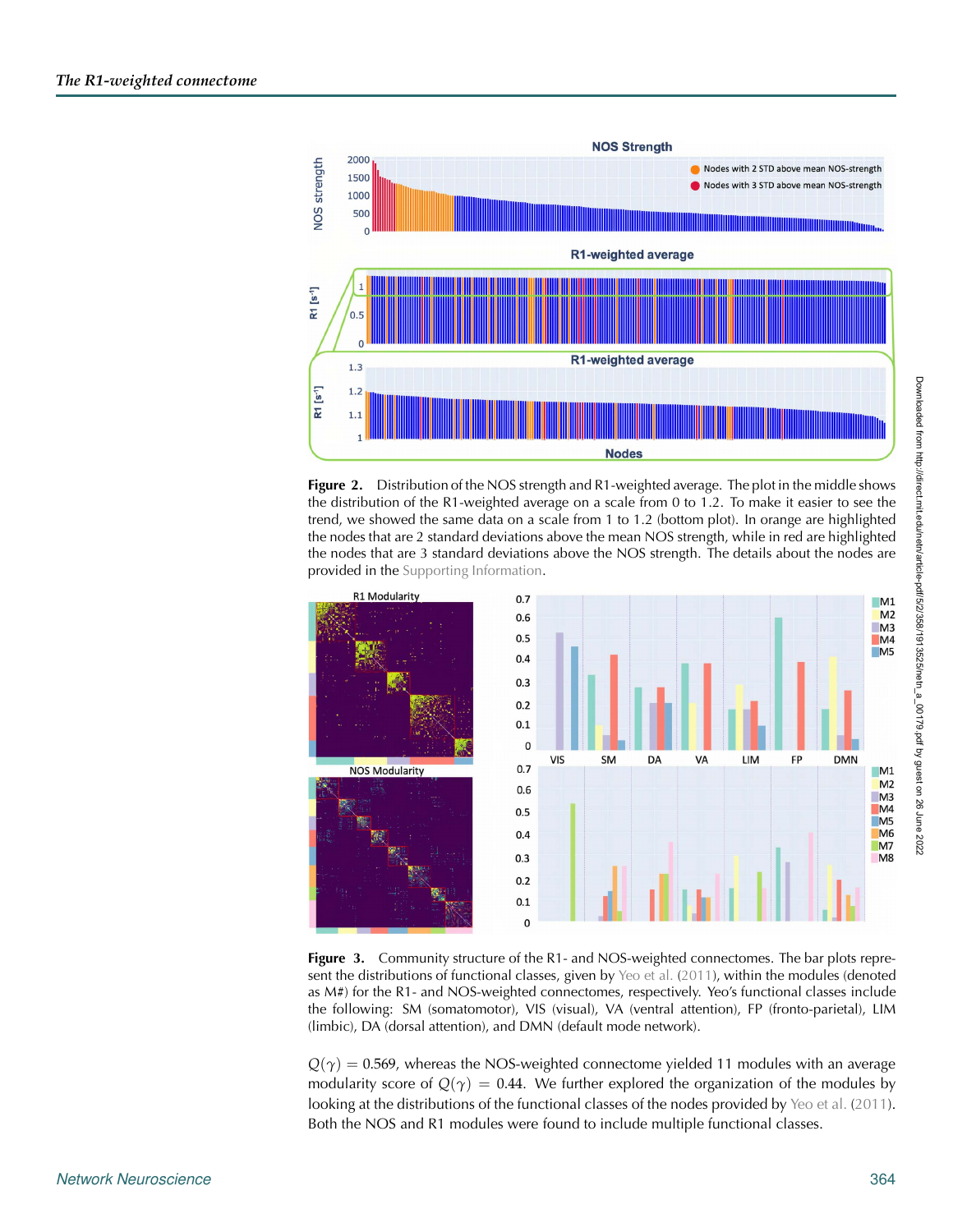

<span id="page-6-0"></span>**Figure 2.** Distribution of the NOS strength and R1-weighted average. The plot in the middle shows the distribution of the R1-weighted average on a scale from 0 to 1.2. To make it easier to see the trend, we showed the same data on a scale from 1 to 1.2 (bottom plot). In orange are highlighted the nodes that are 2 standard deviations above the mean NOS strength, while in red are highlighted the nodes that are 3 standard deviations above the NOS strength. The details about the nodes are provided in the [Supporting Information.](#page-10-0)



<span id="page-6-1"></span>**Figure 3.** Community structure of the R1- and NOS-weighted connectomes. The bar plots represent the distributions of functional classes, given by [Yeo et al.](#page-14-13) [\(2011](#page-14-13)), within the modules (denoted as M#) for the R1- and NOS-weighted connectomes, respectively. Yeo's functional classes include the following: SM (somatomotor), VIS (visual), VA (ventral attention), FP (fronto-parietal), LIM (limbic), DA (dorsal attention), and DMN (default mode network).

 $Q(\gamma) = 0.569$ , whereas the NOS-weighted connectome yielded 11 modules with an average modularity score of  $Q(\gamma) = 0.44$ . We further explored the organization of the modules by looking at the distributions of the functional classes of the nodes provided by [Yeo et al.](#page-14-13) [\(2011\)](#page-14-13). Both the NOS and R1 modules were found to include multiple functional classes.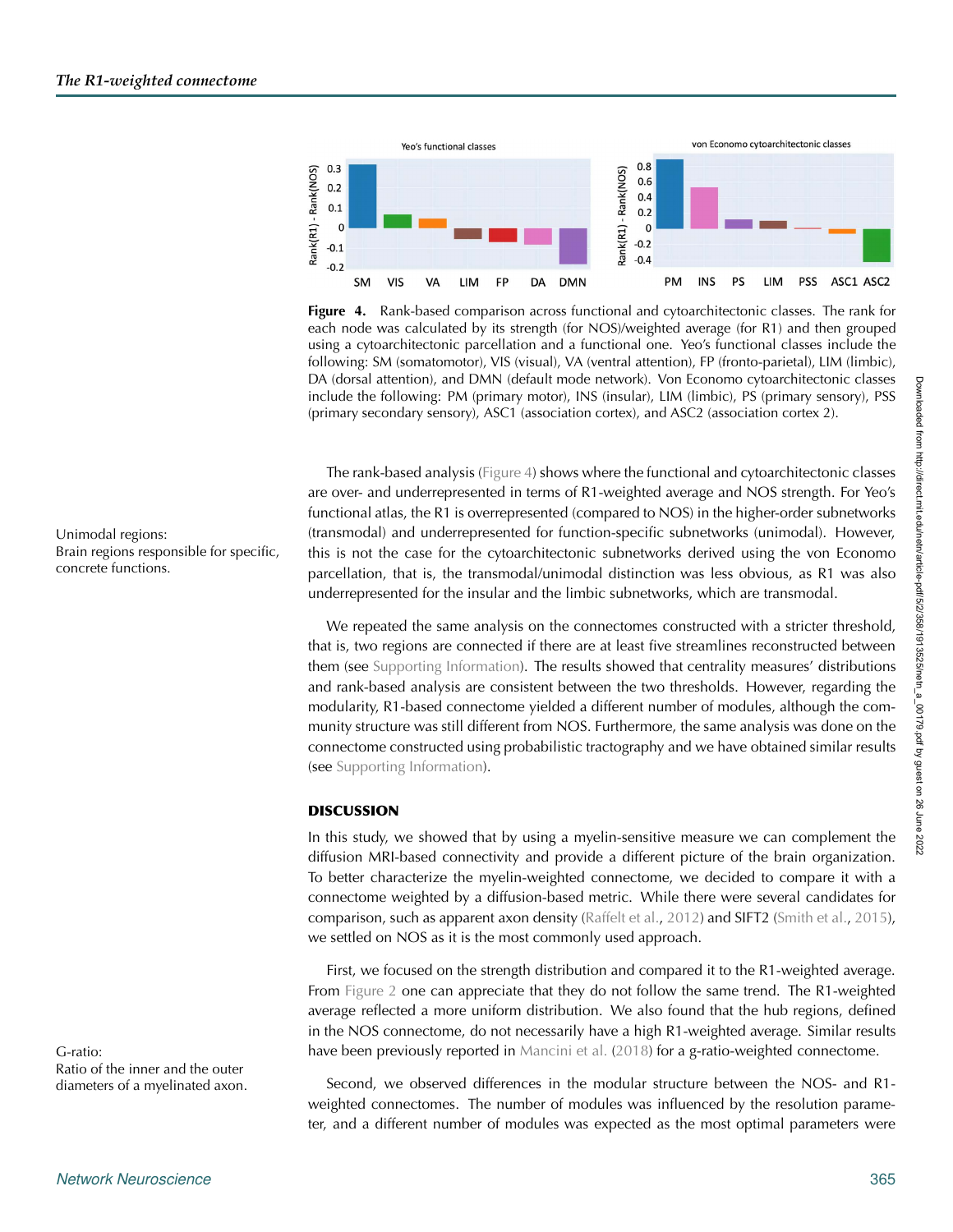

<span id="page-7-0"></span>**Figure 4.** Rank-based comparison across functional and cytoarchitectonic classes. The rank for each node was calculated by its strength (for NOS)/weighted average (for R1) and then grouped using a cytoarchitectonic parcellation and a functional one. Yeo's functional classes include the following: SM (somatomotor), VIS (visual), VA (ventral attention), FP (fronto-parietal), LIM (limbic), DA (dorsal attention), and DMN (default mode network). Von Economo cytoarchitectonic classes include the following: PM (primary motor), INS (insular), LIM (limbic), PS (primary sensory), PSS (primary secondary sensory), ASC1 (association cortex), and ASC2 (association cortex 2).

The rank-based analysis [\(Figure 4\)](#page-7-0) shows where the functional and cytoarchitectonic classes are over- and underrepresented in terms of R1-weighted average and NOS strength. For Yeo's functional atlas, the R1 is overrepresented (compared to NOS) in the higher-order subnetworks Unimodal regions: (transmodal) and underrepresented for function-specific subnetworks (unimodal). However, this is not the case for the cytoarchitectonic subnetworks derived using the von Economo parcellation, that is, the transmodal/unimodal distinction was less obvious, as R1 was also underrepresented for the insular and the limbic subnetworks, which are transmodal.

> We repeated the same analysis on the connectomes constructed with a stricter threshold, that is, two regions are connected if there are at least five streamlines reconstructed between them (see [Supporting Information\)](#page-10-0). The results showed that centrality measures' distributions and rank-based analysis are consistent between the two thresholds. However, regarding the modularity, R1-based connectome yielded a different number of modules, although the community structure was still different from NOS. Furthermore, the same analysis was done on the connectome constructed using probabilistic tractography and we have obtained similar results (see [Supporting Information\)](#page-10-0).

# **DISCUSSION**

In this study, we showed that by using a myelin-sensitive measure we can complement the diffusion MRI-based connectivity and provide a different picture of the brain organization. To better characterize the myelin-weighted connectome, we decided to compare it with a connectome weighted by a diffusion-based metric. While there were several candidates for comparison, such as apparent axon density [\(Raffelt et al.,](#page-13-16) [2012\)](#page-13-16) and SIFT2 [\(Smith et al.,](#page-13-11) [2015\)](#page-13-11), we settled on NOS as it is the most commonly used approach.

First, we focused on the strength distribution and compared it to the R1-weighted average. From [Figure 2](#page-6-0) one can appreciate that they do not follow the same trend. The R1-weighted average reflected a more uniform distribution. We also found that the hub regions, defined in the NOS connectome, do not necessarily have a high R1-weighted average. Similar results G-ratio: have been previously reported in [Mancini et al.](#page-12-5) [\(2018\)](#page-12-5) for a g-ratio-weighted connectome.

diameters of a myelinated axon. Second, we observed differences in the modular structure between the NOS- and R1weighted connectomes. The number of modules was influenced by the resolution parameter, and a different number of modules was expected as the most optimal parameters were

Brain regions responsible for specific, concrete functions.

Ratio of the inner and the outer

Downloaded from http://direct.mit.edu/netn/article-pdf/5/2/358/1913525/netn\_a\_00179.pdf by guest on 26 June 2022

Downloaded from http://direct.mit.edu/netn/article-pdf/5/2/368/1913525/netn\_a\_00179.pdf by guest on 26 June 2022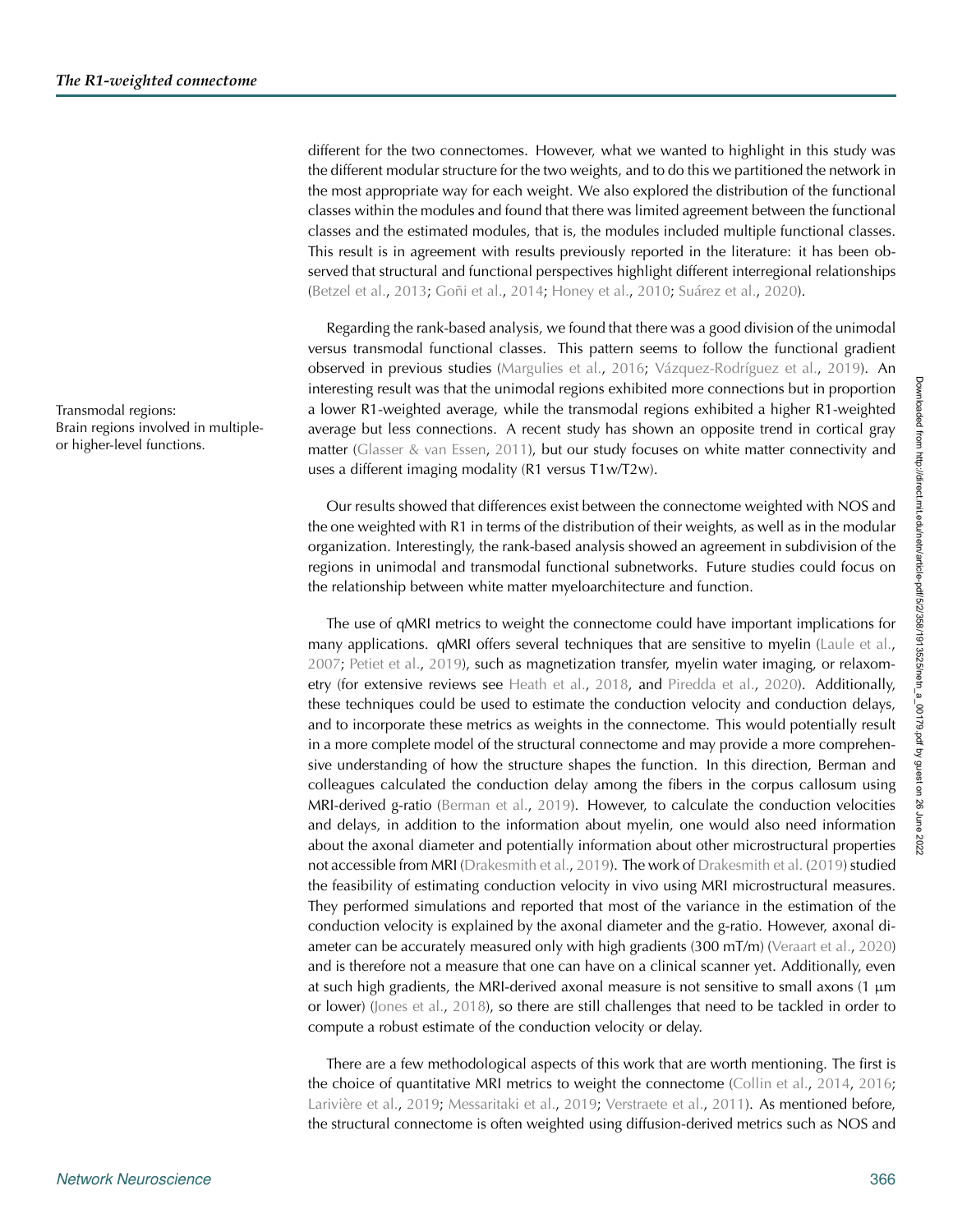different for the two connectomes. However, what we wanted to highlight in this study was the different modular structure for the two weights, and to do this we partitioned the network in the most appropriate way for each weight. We also explored the distribution of the functional classes within the modules and found that there was limited agreement between the functional classes and the estimated modules, that is, the modules included multiple functional classes. This result is in agreement with results previously reported in the literature: it has been observed that structural and functional perspectives highlight different interregional relationships [\(Betzel et al.](#page-11-11), [2013;](#page-11-11) [Goñi et al.](#page-12-15), [2014](#page-12-15); [Honey et al.,](#page-12-16) [2010;](#page-12-16) [Suárez et al.](#page-14-14), [2020\)](#page-14-14).

Regarding the rank-based analysis, we found that there was a good division of the unimodal versus transmodal functional classes. This pattern seems to follow the functional gradient observed in previous studies [\(Margulies et al.,](#page-13-17) [2016](#page-13-17); [Vázquez-Rodríguez et al.](#page-14-12), [2019\)](#page-14-12). An interesting result was that the unimodal regions exhibited more connections but in proportion Transmodal regions: a lower R1-weighted average, while the transmodal regions exhibited a higher R1-weighted average but less connections. A recent study has shown an opposite trend in cortical gray matter [\(Glasser & van Essen](#page-11-12), [2011](#page-11-12)), but our study focuses on white matter connectivity and uses a different imaging modality (R1 versus T1w/T2w).

> Our results showed that differences exist between the connectome weighted with NOS and the one weighted with R1 in terms of the distribution of their weights, as well as in the modular organization. Interestingly, the rank-based analysis showed an agreement in subdivision of the regions in unimodal and transmodal functional subnetworks. Future studies could focus on the relationship between white matter myeloarchitecture and function.

> The use of qMRI metrics to weight the connectome could have important implications for many applications. gMRI offers several techniques that are sensitive to myelin (Laule et al., [2007;](#page-12-17) [Petiet et al.](#page-13-18), [2019\)](#page-13-18), such as magnetization transfer, myelin water imaging, or relaxom-etry (for extensive reviews see [Heath et al.](#page-12-18), [2018,](#page-12-18) and [Piredda et al.](#page-13-19), [2020\)](#page-13-19). Additionally, these techniques could be used to estimate the conduction velocity and conduction delays, and to incorporate these metrics as weights in the connectome. This would potentially result in a more complete model of the structural connectome and may provide a more comprehensive understanding of how the structure shapes the function. In this direction, Berman and colleagues calculated the conduction delay among the fibers in the corpus callosum using MRI-derived g-ratio [\(Berman et al.](#page-11-13), [2019\)](#page-11-13). However, to calculate the conduction velocities and delays, in addition to the information about myelin, one would also need information about the axonal diameter and potentially information about other microstructural properties not accessible from MRI [\(Drakesmith et al.](#page-11-14), [2019\)](#page-11-14). The work of [Drakesmith et al.](#page-11-14) [\(2019\)](#page-11-14) studied the feasibility of estimating conduction velocity in vivo using MRI microstructural measures. They performed simulations and reported that most of the variance in the estimation of the conduction velocity is explained by the axonal diameter and the g-ratio. However, axonal di-ameter can be accurately measured only with high gradients (300 mT/m) [\(Veraart et al.](#page-14-15), [2020](#page-14-15)) and is therefore not a measure that one can have on a clinical scanner yet. Additionally, even at such high gradients, the MRI-derived axonal measure is not sensitive to small axons  $(1 \mu m)$ or lower) [\(Jones et al.](#page-12-19), [2018](#page-12-19)), so there are still challenges that need to be tackled in order to compute a robust estimate of the conduction velocity or delay.

> There are a few methodological aspects of this work that are worth mentioning. The first is the choice of quantitative MRI metrics to weight the connectome [\(Collin et al.](#page-11-15), [2014](#page-11-15), [2016](#page-11-16); [Larivière et al.,](#page-12-20) [2019;](#page-13-20) [Messaritaki et al.](#page-13-20), 2019; [Verstraete et al.](#page-14-16), [2011\)](#page-14-16). As mentioned before, the structural connectome is often weighted using diffusion-derived metrics such as NOS and

Brain regions involved in multipleor higher-level functions.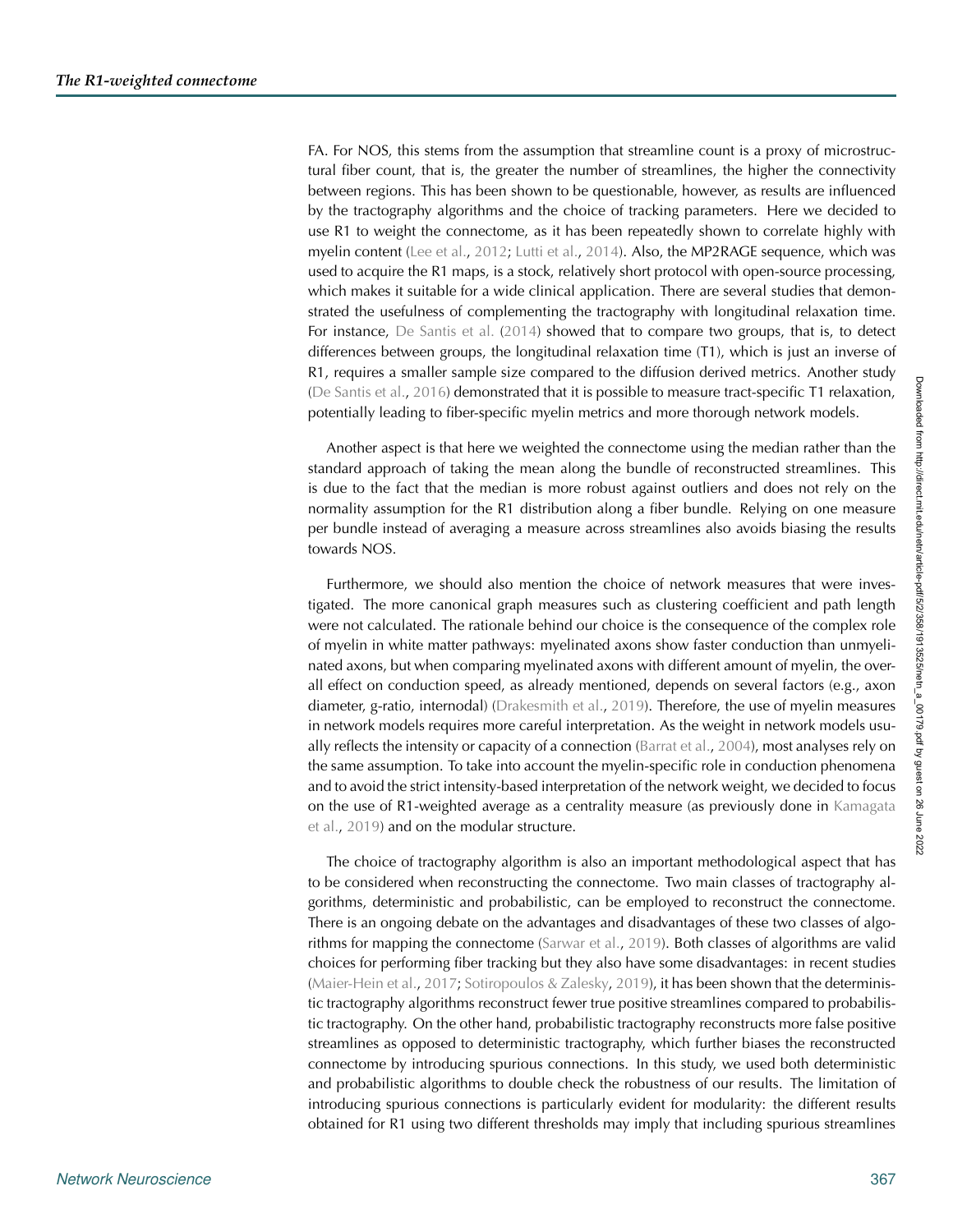FA. For NOS, this stems from the assumption that streamline count is a proxy of microstructural fiber count, that is, the greater the number of streamlines, the higher the connectivity between regions. This has been shown to be questionable, however, as results are influenced by the tractography algorithms and the choice of tracking parameters. Here we decided to use R1 to weight the connectome, as it has been repeatedly shown to correlate highly with myelin content [\(Lee et al.](#page-12-21), [2012](#page-12-21); [Lutti et al.,](#page-12-22) [2014\)](#page-12-22). Also, the MP2RAGE sequence, which was used to acquire the R1 maps, is a stock, relatively short protocol with open-source processing, which makes it suitable for a wide clinical application. There are several studies that demonstrated the usefulness of complementing the tractography with longitudinal relaxation time. For instance, [De Santis et al.](#page-11-17) [\(2014](#page-11-17)) showed that to compare two groups, that is, to detect differences between groups, the longitudinal relaxation time (T1), which is just an inverse of R1, requires a smaller sample size compared to the diffusion derived metrics. Another study [\(De Santis et al.,](#page-11-18) [2016\)](#page-11-18) demonstrated that it is possible to measure tract-specific T1 relaxation, potentially leading to fiber-specific myelin metrics and more thorough network models.

Another aspect is that here we weighted the connectome using the median rather than the standard approach of taking the mean along the bundle of reconstructed streamlines. This is due to the fact that the median is more robust against outliers and does not rely on the normality assumption for the R1 distribution along a fiber bundle. Relying on one measure per bundle instead of averaging a measure across streamlines also avoids biasing the results towards NOS.

Furthermore, we should also mention the choice of network measures that were investigated. The more canonical graph measures such as clustering coefficient and path length were not calculated. The rationale behind our choice is the consequence of the complex role of myelin in white matter pathways: myelinated axons show faster conduction than unmyelinated axons, but when comparing myelinated axons with different amount of myelin, the overall effect on conduction speed, as already mentioned, depends on several factors (e.g., axon diameter, g-ratio, internodal) [\(Drakesmith et al.,](#page-11-14) [2019](#page-11-14)). Therefore, the use of myelin measures in network models requires more careful interpretation. As the weight in network models usually reflects the intensity or capacity of a connection [\(Barrat et al.,](#page-11-19) [2004\)](#page-11-19), most analyses rely on the same assumption. To take into account the myelin-specific role in conduction phenomena and to avoid the strict intensity-based interpretation of the network weight, we decided to focus on t[he](#page-12-4) [use](#page-12-4) [of](#page-12-4) [R1-weighted](#page-12-4) [average](#page-12-4) [as](#page-12-4) [a](#page-12-4) [centrality](#page-12-4) [measure](#page-12-4) [\(as](#page-12-4) [previously](#page-12-4) [done](#page-12-4) [in](#page-12-4) Kamagata et al., [2019](#page-12-4)) and on the modular structure.

The choice of tractography algorithm is also an important methodological aspect that has to be considered when reconstructing the connectome. Two main classes of tractography algorithms, deterministic and probabilistic, can be employed to reconstruct the connectome. There is an ongoing debate on the advantages and disadvantages of these two classes of algorithms for mapping the connectome [\(Sarwar et al.,](#page-13-21) [2019](#page-13-21)). Both classes of algorithms are valid choices for performing fiber tracking but they also have some disadvantages: in recent studies [\(Maier-Hein et al.](#page-12-23), [2017;](#page-12-23) [Sotiropoulos & Zalesky](#page-13-22), [2019](#page-13-22)), it has been shown that the deterministic tractography algorithms reconstruct fewer true positive streamlines compared to probabilistic tractography. On the other hand, probabilistic tractography reconstructs more false positive streamlines as opposed to deterministic tractography, which further biases the reconstructed connectome by introducing spurious connections. In this study, we used both deterministic and probabilistic algorithms to double check the robustness of our results. The limitation of introducing spurious connections is particularly evident for modularity: the different results obtained for R1 using two different thresholds may imply that including spurious streamlines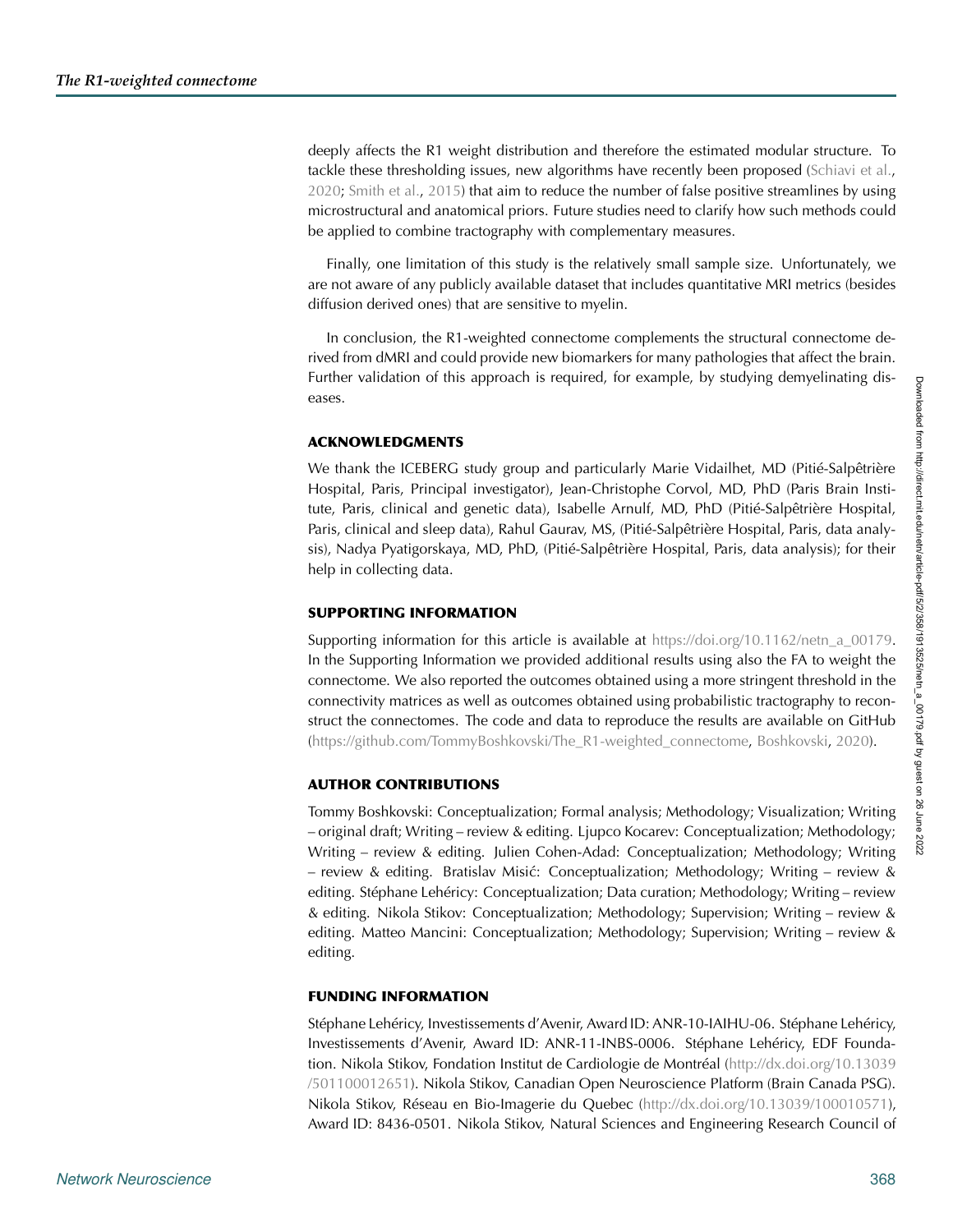deeply affects the R1 weight distribution and therefore the estimated modular structure. To tackle these thresholding issues, new algorithms have recently been proposed [\(Schiavi et al.](#page-13-23), [2020](#page-13-23); [Smith et al.,](#page-13-11) [2015](#page-13-11)) that aim to reduce the number of false positive streamlines by using microstructural and anatomical priors. Future studies need to clarify how such methods could be applied to combine tractography with complementary measures.

Finally, one limitation of this study is the relatively small sample size. Unfortunately, we are not aware of any publicly available dataset that includes quantitative MRI metrics (besides diffusion derived ones) that are sensitive to myelin.

In conclusion, the R1-weighted connectome complements the structural connectome derived from dMRI and could provide new biomarkers for many pathologies that affect the brain. Further validation of this approach is required, for example, by studying demyelinating diseases.

#### **ACKNOWLEDGMENTS**

We thank the ICEBERG study group and particularly Marie Vidailhet, MD (Pitié-Salpêtrière Hospital, Paris, Principal investigator), Jean-Christophe Corvol, MD, PhD (Paris Brain Institute, Paris, clinical and genetic data), Isabelle Arnulf, MD, PhD (Pitié-Salpêtrière Hospital, Paris, clinical and sleep data), Rahul Gaurav, MS, (Pitié-Salpêtrière Hospital, Paris, data analysis), Nadya Pyatigorskaya, MD, PhD, (Pitié-Salpêtrière Hospital, Paris, data analysis); for their help in collecting data.

### <span id="page-10-0"></span>**SUPPORTING INFORMATION**

Supporting information for this article is available at https://doi.org/10.1162/netn a 00179. In the Supporting Information we provided additional results using also the FA to weight the connectome. We also reported the outcomes obtained using a more stringent threshold in the connectivity matrices as well as outcomes obtained using probabilistic tractography to reconstruct the connectomes. The code and data to reproduce the results are available on GitHub [\(https://github.com/TommyBoshkovski/The\\_R1-weighted\\_connectome,](https://github.com/TommyBoshkovski/The_R1-weighted_connectome) [Boshkovski](#page-11-20), [2020\)](#page-11-20).

# **AUTHOR CONTRIBUTIONS**

Tommy Boshkovski: Conceptualization; Formal analysis; Methodology; Visualization; Writing – original draft; Writing – review & editing. Ljupco Kocarev: Conceptualization; Methodology; Writing – review & editing. Julien Cohen-Adad: Conceptualization; Methodology; Writing – review & editing. Bratislav Misic: Conceptualization; Methodology; Writing – review & ´ editing. Stéphane Lehéricy: Conceptualization; Data curation; Methodology; Writing – review & editing. Nikola Stikov: Conceptualization; Methodology; Supervision; Writing – review & editing. Matteo Mancini: Conceptualization; Methodology; Supervision; Writing – review & editing.

#### **FUNDING INFORMATION**

Stéphane Lehéricy, Investissements d'Avenir, Award ID: ANR-10-IAIHU-06. Stéphane Lehéricy, Investissements d'Avenir, Award ID: ANR-11-INBS-0006. Stéphane Lehéricy, EDF Foundation. Nikola Stikov, Fondation Institut de Cardiologie de Montréal [\(http://dx.doi.org/10.13039](http://dx.doi.org/10.13039/501100012651) [/501100012651\)](http://dx.doi.org/10.13039/501100012651). Nikola Stikov, Canadian Open Neuroscience Platform (Brain Canada PSG). Nikola Stikov, Réseau en Bio-Imagerie du Quebec [\(http://dx.doi.org/10.13039/100010571\)](http://dx.doi.org/10.13039/100010571), Award ID: 8436-0501. Nikola Stikov, Natural Sciences and Engineering Research Council of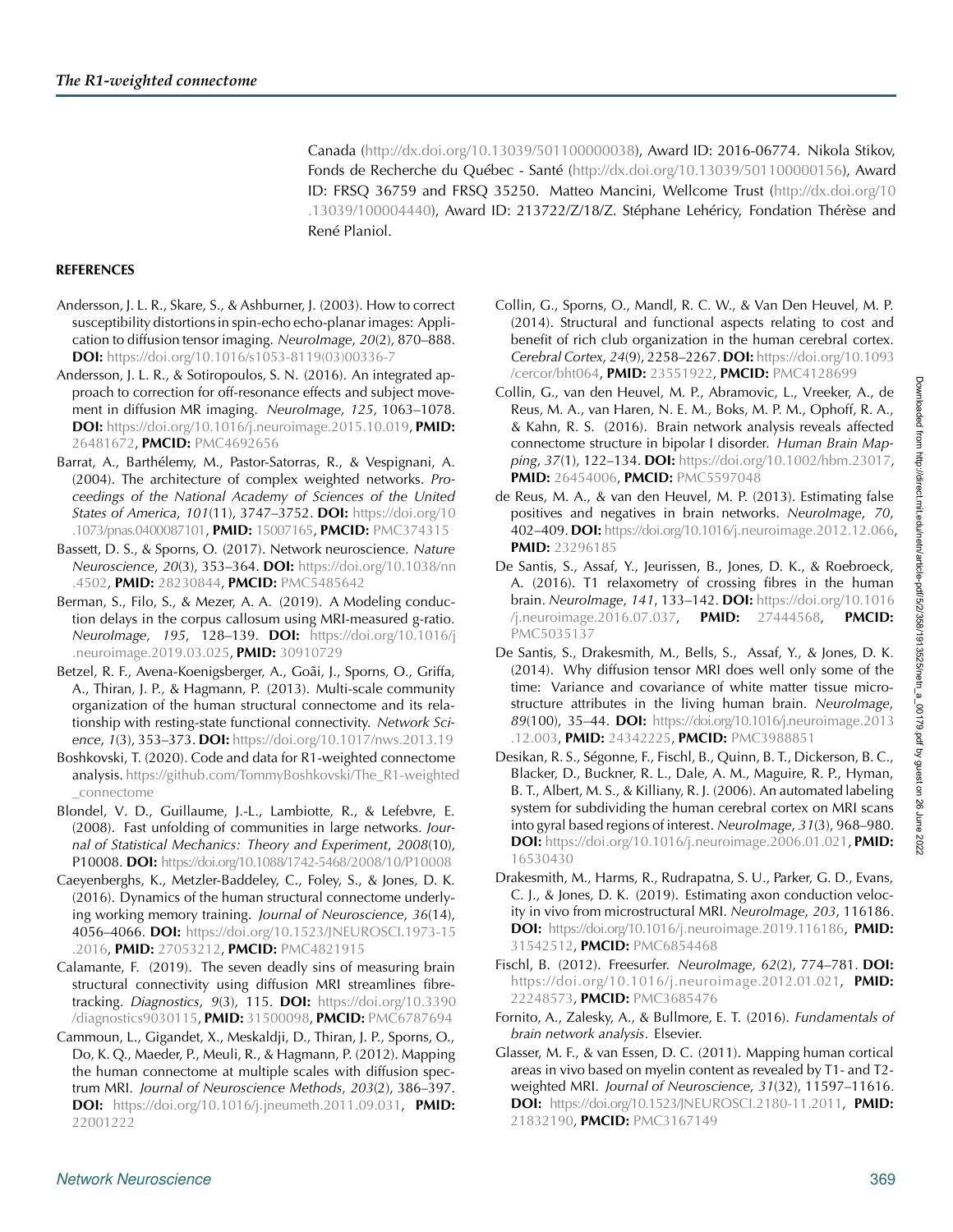Canada [\(http://dx.doi.org/10.13039/501100000038\)](http://dx.doi.org/10.13039/501100000038), Award ID: 2016-06774. Nikola Stikov, Fonds de Recherche du Québec - Santé [\(http://dx.doi.org/10.13039/501100000156\)](http://dx.doi.org/10.13039/501100000156), Award ID: FRSQ 36759 and FRSQ 35250. Matteo Mancini, Wellcome Trust [\(http://dx.doi.org/10](http://dx.doi.org/10.13039/100004440) [.13039/100004440\)](http://dx.doi.org/10.13039/100004440), Award ID: 213722/Z/18/Z. Stéphane Lehéricy, Fondation Thérèse and René Planiol.

#### **REFERENCES**

- <span id="page-11-8"></span>Andersson, J. L. R., Skare, S., & Ashburner, J. (2003). How to correct susceptibility distortions in spin-echo echo-planar images: Application to diffusion tensor imaging. *NeuroImage*, *20*(2), 870–888. **DOI:** [https://doi.org/10.1016/s1053-8119\(03\)00336-7](https://doi.org/10.1016/s1053-8119(03)00336-7)
- <span id="page-11-7"></span>Andersson, J. L. R., & Sotiropoulos, S. N. (2016). An integrated approach to correction for off-resonance effects and subject movement in diffusion MR imaging. *NeuroImage*, *125*, 1063–1078. **DOI:** [https://doi.org/10.1016/j.neuroimage.2015.10.019,](https://doi.org/10.1016/j.neuroimage.2015.10.019) **PMID:** [26481672,](https://europepmc.org/article/MED/26481672) **PMCID:** [PMC4692656](https://www.ncbi.nlm.nih.gov/pmc/articles/PMC4692656)
- <span id="page-11-19"></span>Barrat, A., Barthélemy, M., Pastor-Satorras, R., & Vespignani, A. (2004). The architecture of complex weighted networks. *Proceedings of the National Academy of Sciences of the United States of America*, *101*(11), 3747–3752. **DOI:** [https://doi.org/10](https://doi.org/10.1073/pnas.0400087101) [.1073/pnas.0400087101,](https://doi.org/10.1073/pnas.0400087101) **PMID:** [15007165,](https://europepmc.org/article/MED/15007165) **PMCID:** [PMC374315](https://www.ncbi.nlm.nih.gov/pmc/articles/PMC374315)
- <span id="page-11-1"></span>Bassett, D. S., & Sporns, O. (2017). Network neuroscience. *Nature Neuroscience*, *20*(3), 353–364. **DOI:** [https://doi.org/10.1038/nn](https://doi.org/10.1038/nn.4502) [.4502,](https://doi.org/10.1038/nn.4502) **PMID:** [28230844,](https://europepmc.org/article/MED/28230844) **PMCID:** [PMC5485642](https://www.ncbi.nlm.nih.gov/pmc/articles/PMC5485642)
- <span id="page-11-13"></span>Berman, S., Filo, S., & Mezer, A. A. (2019). A Modeling conduction delays in the corpus callosum using MRI-measured g-ratio. *NeuroImage*, *195*, 128–139. **DOI:** [https://doi.org/10.1016/j](https://doi.org/10.1016/j.neuroimage.2019.03.025) [.neuroimage.2019.03.025,](https://doi.org/10.1016/j.neuroimage.2019.03.025) **PMID:** [30910729](https://europepmc.org/article/MED/30910729)
- <span id="page-11-11"></span>Betzel, R. F., Avena-Koenigsberger, A., Goãi, J., Sporns, O., Griffa, A., Thiran, J. P., & Hagmann, P. (2013). Multi-scale community organization of the human structural connectome and its relationship with resting-state functional connectivity. *Network Science*, *1*(3), 353–373. **DOI:** <https://doi.org/10.1017/nws.2013.19>
- <span id="page-11-20"></span>Boshkovski, T. (2020). Code and data for R1-weighted connectome analysis. [https://github.com/TommyBoshkovski/The\\_R1-weighted](https://github.com/TommyBoshkovski/The_R1-weighted_connectome) [\\_connectome](https://github.com/TommyBoshkovski/The_R1-weighted_connectome)
- <span id="page-11-10"></span>Blondel, V. D., Guillaume, J.-L., Lambiotte, R., & Lefebvre, E. (2008). Fast unfolding of communities in large networks. *Journal of Statistical Mechanics: Theory and Experiment*, *2008*(10), P10008. **DOI:** <https://doi.org/10.1088/1742-5468/2008/10/P10008>
- <span id="page-11-3"></span>Caeyenberghs, K., Metzler-Baddeley, C., Foley, S., & Jones, D. K. (2016). Dynamics of the human structural connectome underlying working memory training. *Journal of Neuroscience*, *36*(14), 4056–4066. **DOI:** [https://doi.org/10.1523/JNEUROSCI.1973-15](https://doi.org/10.1523/JNEUROSCI.1973-15.2016) [.2016,](https://doi.org/10.1523/JNEUROSCI.1973-15.2016) **PMID:** [27053212,](https://europepmc.org/article/MED/27053212) **PMCID:** [PMC4821915](https://www.ncbi.nlm.nih.gov/pmc/articles/PMC4821915)
- <span id="page-11-2"></span>Calamante, F. (2019). The seven deadly sins of measuring brain structural connectivity using diffusion MRI streamlines fibretracking. *Diagnostics*, *9*(3), 115. **DOI:** [https://doi.org/10.3390](https://doi.org/10.3390/diagnostics9030115) [/diagnostics9030115,](https://doi.org/10.3390/diagnostics9030115) **PMID:** [31500098,](https://europepmc.org/article/MED/31500098) **PMCID:** [PMC6787694](https://www.ncbi.nlm.nih.gov/pmc/articles/PMC6787694)
- <span id="page-11-6"></span>Cammoun, L., Gigandet, X., Meskaldji, D., Thiran, J. P., Sporns, O., Do, K. Q., Maeder, P., Meuli, R., & Hagmann, P. (2012). Mapping the human connectome at multiple scales with diffusion spectrum MRI. *Journal of Neuroscience Methods*, *203*(2), 386–397. **DOI:** [https://doi.org/10.1016/j.jneumeth.2011.09.031,](https://doi.org/10.1016/j.jneumeth.2011.09.031) **PMID:** [22001222](https://europepmc.org/article/MED/22001222)
- <span id="page-11-15"></span>Collin, G., Sporns, O., Mandl, R. C. W., & Van Den Heuvel, M. P. (2014). Structural and functional aspects relating to cost and benefit of rich club organization in the human cerebral cortex. *Cerebral Cortex*, *24*(9), 2258–2267.**DOI:** [https://doi.org/10.1093](https://doi.org/10.1093/cercor/bht064) [/cercor/bht064,](https://doi.org/10.1093/cercor/bht064) **PMID:** [23551922,](https://europepmc.org/article/MED/23551922) **PMCID:** [PMC4128699](https://www.ncbi.nlm.nih.gov/pmc/articles/PMC4128699)
- <span id="page-11-16"></span>Collin, G., van den Heuvel, M. P., Abramovic, L., Vreeker, A., de Reus, M. A., van Haren, N. E. M., Boks, M. P. M., Ophoff, R. A., & Kahn, R. S. (2016). Brain network analysis reveals affected connectome structure in bipolar I disorder. *Human Brain Mapping*, *37*(1), 122–134. **DOI:** [https://doi.org/10.1002/hbm.23017,](https://doi.org/10.1002/hbm.23017) **PMID:** [26454006,](https://europepmc.org/article/MED/26454006) **PMCID:** [PMC5597048](https://www.ncbi.nlm.nih.gov/pmc/articles/PMC5597048)
- <span id="page-11-9"></span>de Reus, M. A., & van den Heuvel, M. P. (2013). Estimating false positives and negatives in brain networks. *NeuroImage*, *70*, 402–409.**DOI:** [https://doi.org/10.1016/j.neuroimage.2012.12.066,](https://doi.org/10.1016/j.neuroimage.2012.12.066) **PMID:** [23296185](https://europepmc.org/article/MED/23296185)
- <span id="page-11-18"></span>De Santis, S., Assaf, Y., Jeurissen, B., Jones, D. K., & Roebroeck, A. (2016). T1 relaxometry of crossing fibres in the human brain. *NeuroImage*, *141*, 133–142. **DOI:** [https://doi.org/10.1016](https://doi.org/10.1016/j.neuroimage.2016.07.037) [/j.neuroimage.2016.07.037,](https://doi.org/10.1016/j.neuroimage.2016.07.037) **PMID:** [27444568,](https://europepmc.org/article/MED/27444568) **PMCID:** [PMC5035137](https://www.ncbi.nlm.nih.gov/pmc/articles/PMC5035137)
- <span id="page-11-17"></span>De Santis, S., Drakesmith, M., Bells, S., Assaf, Y., & Jones, D. K. (2014). Why diffusion tensor MRI does well only some of the time: Variance and covariance of white matter tissue microstructure attributes in the living human brain. *NeuroImage*, *89*(100), 35–44. **DOI:** [https://doi.org/10.1016/j.neuroimage.2013](https://doi.org/10.1016/j.neuroimage.2013.12.003) [.12.003,](https://doi.org/10.1016/j.neuroimage.2013.12.003) **PMID:** [24342225,](https://europepmc.org/article/MED/24342225) **PMCID:** [PMC3988851](https://www.ncbi.nlm.nih.gov/pmc/articles/PMC3988851)
- <span id="page-11-5"></span>Desikan, R. S., Ségonne, F., Fischl, B., Quinn, B. T., Dickerson, B. C., Blacker, D., Buckner, R. L., Dale, A. M., Maguire, R. P., Hyman, B. T., Albert, M. S., & Killiany, R. J. (2006). An automated labeling system for subdividing the human cerebral cortex on MRI scans into gyral based regions of interest. *NeuroImage*, *31*(3), 968–980. **DOI:** [https://doi.org/10.1016/j.neuroimage.2006.01.021,](https://doi.org/10.1016/j.neuroimage.2006.01.021) **PMID:** [16530430](https://europepmc.org/article/MED/16530430)
- <span id="page-11-14"></span>Drakesmith, M., Harms, R., Rudrapatna, S. U., Parker, G. D., Evans, C. J., & Jones, D. K. (2019). Estimating axon conduction velocity in vivo from microstructural MRI. *NeuroImage*, *203*, 116186. **DOI:** [https://doi.org/10.1016/j.neuroimage.2019.116186,](https://doi.org/10.1016/j.neuroimage.2019.116186) **PMID:** [31542512,](https://europepmc.org/article/MED/31542512) **PMCID:** [PMC6854468](https://www.ncbi.nlm.nih.gov/pmc/articles/PMC6854468)
- <span id="page-11-4"></span>Fischl, B. (2012). Freesurfer. *NeuroImage*, *62*(2), 774–781. **DOI:** [https://doi.org/10.1016/j.neuroimage.2012.01.021,](https://doi.org/10.1016/j.neuroimage.2012.01.021) **PMID:** [22248573,](https://europepmc.org/article/MED/22248573) **PMCID:** [PMC3685476](https://www.ncbi.nlm.nih.gov/pmc/articles/PMC3685476)
- <span id="page-11-0"></span>Fornito, A., Zalesky, A., & Bullmore, E. T. (2016). *Fundamentals of brain network analysis*. Elsevier.
- <span id="page-11-12"></span>Glasser, M. F., & van Essen, D. C. (2011). Mapping human cortical areas in vivo based on myelin content as revealed by T1- and T2 weighted MRI. *Journal of Neuroscience*, *31*(32), 11597–11616. **DOI:** [https://doi.org/10.1523/JNEUROSCI.2180-11.2011,](https://doi.org/10.1523/JNEUROSCI.2180-11.2011) **PMID:** [21832190,](https://europepmc.org/article/MED/21832190) **PMCID:** [PMC3167149](https://www.ncbi.nlm.nih.gov/pmc/articles/PMC3167149)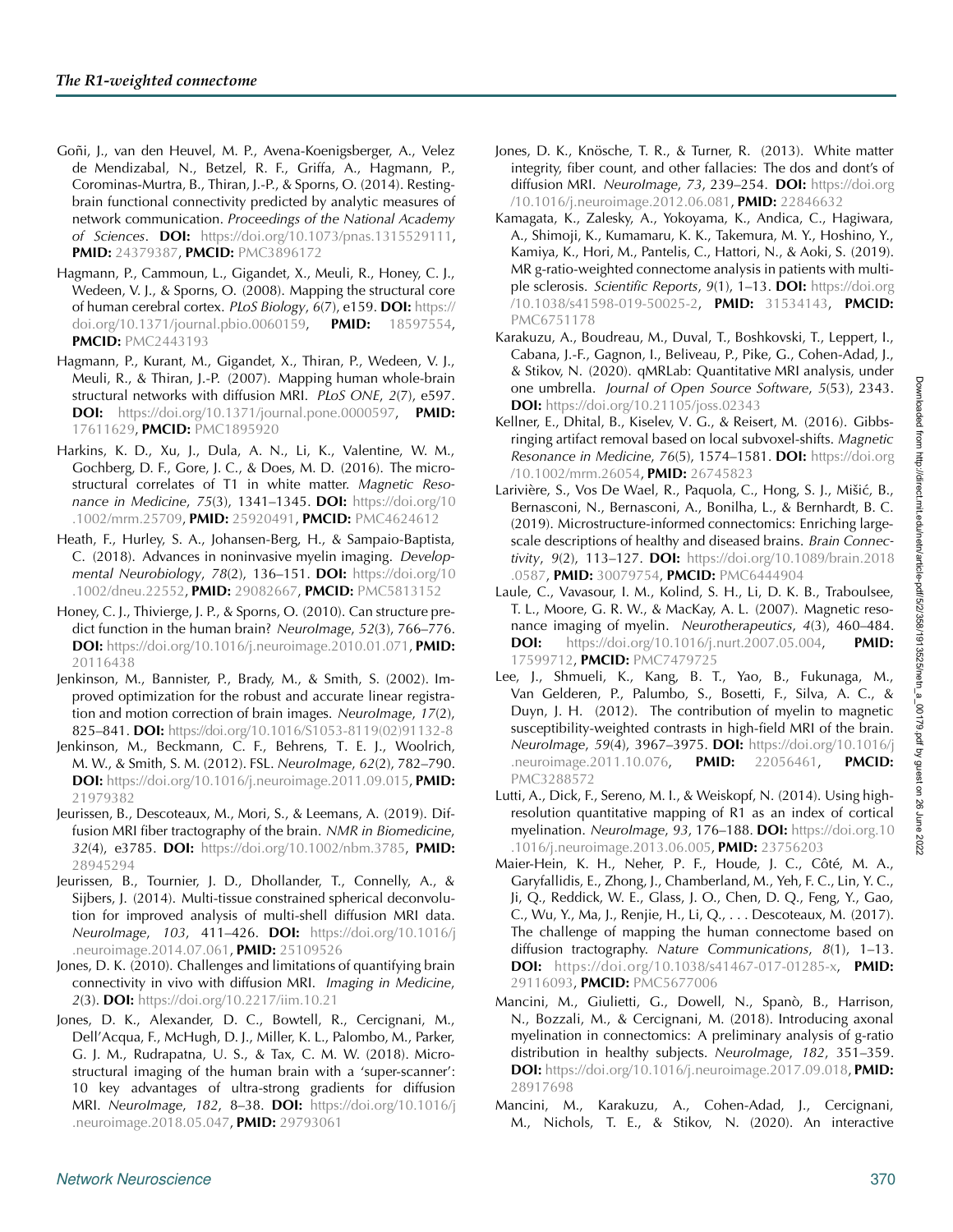- <span id="page-12-15"></span>Goñi, J., van den Heuvel, M. P., Avena-Koenigsberger, A., Velez de Mendizabal, N., Betzel, R. F., Griffa, A., Hagmann, P., Corominas-Murtra, B., Thiran, J.-P., & Sporns, O. (2014). Restingbrain functional connectivity predicted by analytic measures of network communication. *Proceedings of the National Academy of Sciences*. **DOI:** [https://doi.org/10.1073/pnas.1315529111,](https://doi.org/10.1073/pnas.1315529111) **PMID:** [24379387,](https://europepmc.org/article/MED/24379387) **PMCID:** [PMC3896172](https://www.ncbi.nlm.nih.gov/pmc/articles/PMC3896172)
- <span id="page-12-10"></span>Hagmann, P., Cammoun, L., Gigandet, X., Meuli, R., Honey, C. J., Wedeen, V. J., & Sporns, O. (2008). Mapping the structural core of human cerebral cortex. *PLoS Biology*, *6*(7), e159. **DOI:** [https://](https://doi.org/10.1371/journal.pbio.0060159) [doi.org/10.1371/journal.pbio.0060159,](https://doi.org/10.1371/journal.pbio.0060159) **PMID:** [18597554,](https://europepmc.org/article/MED/18597554) **PMCID:** [PMC2443193](https://www.ncbi.nlm.nih.gov/pmc/articles/PMC2443193)
- <span id="page-12-0"></span>Hagmann, P., Kurant, M., Gigandet, X., Thiran, P., Wedeen, V. J., Meuli, R., & Thiran, J.-P. (2007). Mapping human whole-brain structural networks with diffusion MRI. *PLoS ONE*, *2*(7), e597. **DOI:** [https://doi.org/10.1371/journal.pone.0000597,](https://doi.org/10.1371/journal.pone.0000597) **PMID:** [17611629,](https://europepmc.org/article/MED/17611629) **PMCID:** [PMC1895920](https://www.ncbi.nlm.nih.gov/pmc/articles/PMC1895920)
- <span id="page-12-6"></span>Harkins, K. D., Xu, J., Dula, A. N., Li, K., Valentine, W. M., Gochberg, D. F., Gore, J. C., & Does, M. D. (2016). The microstructural correlates of T1 in white matter. *Magnetic Resonance in Medicine*, *75*(3), 1341–1345. **DOI:** [https://doi.org/10](https://doi.org/10.1002/mrm.25709) [.1002/mrm.25709,](https://doi.org/10.1002/mrm.25709) **PMID:** [25920491,](https://europepmc.org/article/MED/25920491) **PMCID:** [PMC4624612](https://www.ncbi.nlm.nih.gov/pmc/articles/PMC4624612)
- <span id="page-12-18"></span>Heath, F., Hurley, S. A., Johansen-Berg, H., & Sampaio-Baptista, C. (2018). Advances in noninvasive myelin imaging. *Developmental Neurobiology*, *78*(2), 136–151. **DOI:** [https://doi.org/10](https://doi.org/10.1002/dneu.22552) [.1002/dneu.22552,](https://doi.org/10.1002/dneu.22552) **PMID:** [29082667,](https://europepmc.org/article/MED/29082667) **PMCID:** [PMC5813152](https://www.ncbi.nlm.nih.gov/pmc/articles/PMC5813152)
- <span id="page-12-16"></span>Honey, C. J., Thivierge, J. P., & Sporns, O. (2010). Can structure predict function in the human brain? *NeuroImage*, *52*(3), 766–776. **DOI:** [https://doi.org/10.1016/j.neuroimage.2010.01.071,](https://doi.org/10.1016/j.neuroimage.2010.01.071) **PMID:** [20116438](https://europepmc.org/article/MED/20116438)
- <span id="page-12-11"></span>Jenkinson, M., Bannister, P., Brady, M., & Smith, S. (2002). Improved optimization for the robust and accurate linear registration and motion correction of brain images. *NeuroImage*, *17*(2), 825–841. **DOI:** [https://doi.org/10.1016/S1053-8119\(02\)91132-8](https://doi.org/10.1016/S1053-8119(02)91132-8)
- <span id="page-12-12"></span>Jenkinson, M., Beckmann, C. F., Behrens, T. E. J., Woolrich, M. W., & Smith, S. M. (2012). FSL. *NeuroImage*, *62*(2), 782–790. **DOI:** [https://doi.org/10.1016/j.neuroimage.2011.09.015,](https://doi.org/10.1016/j.neuroimage.2011.09.015) **PMID:** [21979382](https://europepmc.org/article/MED/21979382)
- <span id="page-12-1"></span>Jeurissen, B., Descoteaux, M., Mori, S., & Leemans, A. (2019). Diffusion MRI fiber tractography of the brain. *NMR in Biomedicine*, *32*(4), e3785. **DOI:** [https://doi.org/10.1002/nbm.3785,](https://doi.org/10.1002/nbm.3785) **PMID:** [28945294](https://europepmc.org/article/MED/28945294)
- <span id="page-12-14"></span>Jeurissen, B., Tournier, J. D., Dhollander, T., Connelly, A., & Sijbers, J. (2014). Multi-tissue constrained spherical deconvolution for improved analysis of multi-shell diffusion MRI data. *NeuroImage*, *103*, 411–426. **DOI:** [https://doi.org/10.1016/j](https://doi.org/10.1016/j.neuroimage.2014.07.061) [.neuroimage.2014.07.061,](https://doi.org/10.1016/j.neuroimage.2014.07.061) **PMID:** [25109526](https://europepmc.org/article/MED/25109526)
- <span id="page-12-2"></span>Jones, D. K. (2010). Challenges and limitations of quantifying brain connectivity in vivo with diffusion MRI. *Imaging in Medicine*, *2*(3). **DOI:** <https://doi.org/10.2217/iim.10.21>
- <span id="page-12-19"></span>Jones, D. K., Alexander, D. C., Bowtell, R., Cercignani, M., Dell'Acqua, F., McHugh, D. J., Miller, K. L., Palombo, M., Parker, G. J. M., Rudrapatna, U. S., & Tax, C. M. W. (2018). Microstructural imaging of the human brain with a 'super-scanner': 10 key advantages of ultra-strong gradients for diffusion MRI. *NeuroImage*, *182*, 8–38. **DOI:** [https://doi.org/10.1016/j](https://doi.org/10.1016/j.neuroimage.2018.05.047) [.neuroimage.2018.05.047,](https://doi.org/10.1016/j.neuroimage.2018.05.047) **PMID:** [29793061](https://europepmc.org/article/MED/29793061)
- <span id="page-12-3"></span>Jones, D. K., Knösche, T. R., & Turner, R. (2013). White matter integrity, fiber count, and other fallacies: The dos and dont's of diffusion MRI. *NeuroImage*, *73*, 239–254. **DOI:** [https://doi.org](https://doi.org/10.1016/j.neuroimage.2012.06.081) [/10.1016/j.neuroimage.2012.06.081,](https://doi.org/10.1016/j.neuroimage.2012.06.081) **PMID:** [22846632](https://europepmc.org/article/MED/22846632)
- <span id="page-12-4"></span>Kamagata, K., Zalesky, A., Yokoyama, K., Andica, C., Hagiwara, A., Shimoji, K., Kumamaru, K. K., Takemura, M. Y., Hoshino, Y., Kamiya, K., Hori, M., Pantelis, C., Hattori, N., & Aoki, S. (2019). MR g-ratio-weighted connectome analysis in patients with multiple sclerosis. *Scientific Reports*, *9*(1), 1–13. **DOI:** [https://doi.org](https://doi.org/10.1038/s41598-019-50025-2) [/10.1038/s41598-019-50025-2,](https://doi.org/10.1038/s41598-019-50025-2) **PMID:** [31534143,](https://europepmc.org/article/MED/31534143) **PMCID:** [PMC6751178](https://www.ncbi.nlm.nih.gov/pmc/articles/PMC6751178)
- <span id="page-12-9"></span><span id="page-12-8"></span>Karakuzu, A., Boudreau, M., Duval, T., Boshkovski, T., Leppert, I., Cabana, J.-F., Gagnon, I., Beliveau, P., Pike, G., Cohen-Adad, J., & Stikov, N. (2020). qMRLab: Quantitative MRI analysis, under one umbrella. *Journal of Open Source Software*, *5*(53), 2343. **DOI:** <https://doi.org/10.21105/joss.02343>
- <span id="page-12-13"></span>Kellner, E., Dhital, B., Kiselev, V. G., & Reisert, M. (2016). Gibbsringing artifact removal based on local subvoxel-shifts. *Magnetic Resonance in Medicine*, *76*(5), 1574–1581. **DOI:** [https://doi.org](https://doi.org/10.1002/mrm.26054) [/10.1002/mrm.26054,](https://doi.org/10.1002/mrm.26054) **PMID:** [26745823](https://europepmc.org/article/MED/26745823)
- <span id="page-12-20"></span>Larivière, S., Vos De Wael, R., Paquola, C., Hong, S. J., Mišić, B., Bernasconi, N., Bernasconi, A., Bonilha, L., & Bernhardt, B. C. (2019). Microstructure-informed connectomics: Enriching largescale descriptions of healthy and diseased brains. *Brain Connectivity*, *9*(2), 113–127. **DOI:** [https://doi.org/10.1089/brain.2018](https://doi.org/10.1089/brain.2018.0587) [.0587,](https://doi.org/10.1089/brain.2018.0587) **PMID:** [30079754,](https://europepmc.org/article/MED/30079754) **PMCID:** [PMC6444904](https://www.ncbi.nlm.nih.gov/pmc/articles/PMC6444904)
- <span id="page-12-17"></span>Laule, C., Vavasour, I. M., Kolind, S. H., Li, D. K. B., Traboulsee, T. L., Moore, G. R. W., & MacKay, A. L. (2007). Magnetic resonance imaging of myelin. *Neurotherapeutics*, *4*(3), 460–484. **DOI:** [https://doi.org/10.1016/j.nurt.2007.05.004,](https://doi.org/10.1016/j.nurt.2007.05.004) **PMID:** [17599712,](https://europepmc.org/article/MED/17599712) **PMCID:** [PMC7479725](https://www.ncbi.nlm.nih.gov/pmc/articles/PMC7479725)
- <span id="page-12-21"></span>Lee, J., Shmueli, K., Kang, B. T., Yao, B., Fukunaga, M., Van Gelderen, P., Palumbo, S., Bosetti, F., Silva, A. C., & Duyn, J. H. (2012). The contribution of myelin to magnetic susceptibility-weighted contrasts in high-field MRI of the brain. *NeuroImage*, *59*(4), 3967–3975. **DOI:** [https://doi.org/10.1016/j](https://doi.org/10.1016/j.neuroimage.2011.10.076) [.neuroimage.2011.10.076,](https://doi.org/10.1016/j.neuroimage.2011.10.076) **PMID:** [22056461,](https://europepmc.org/article/MED/22056461) **PMCID:** [PMC3288572](https://www.ncbi.nlm.nih.gov/pmc/articles/PMC3288572)
- <span id="page-12-22"></span>Lutti, A., Dick, F., Sereno, M. I., & Weiskopf, N. (2014). Using highresolution quantitative mapping of R1 as an index of cortical myelination. *NeuroImage*, *93*, 176–188. **DOI:** [https://doi.org.10](https://doi.org/10.1016/j.neuroimage.2013.06.005) [.1016/j.neuroimage.2013.06.005,](https://doi.org/10.1016/j.neuroimage.2013.06.005) **PMID:** [23756203](https://europepmc.org/article/MED/23756203)
- <span id="page-12-23"></span>Maier-Hein, K. H., Neher, P. F., Houde, J. C., Côté, M. A., Garyfallidis, E., Zhong, J., Chamberland, M., Yeh, F. C., Lin, Y. C., Ji, Q., Reddick, W. E., Glass, J. O., Chen, D. Q., Feng, Y., Gao, C., Wu, Y., Ma, J., Renjie, H., Li, Q., . . . Descoteaux, M. (2017). The challenge of mapping the human connectome based on diffusion tractography. *Nature Communications*, *8*(1), 1–13. **DOI:** [https://doi.org/10.1038/s41467-017-01285-x,](https://doi.org/10.1038/s41467-017-01285-x) **PMID:** [29116093,](https://europepmc.org/article/MED/29116093) **PMCID:** [PMC5677006](https://www.ncbi.nlm.nih.gov/pmc/articles/PMC5677006)
- <span id="page-12-5"></span>Mancini, M., Giulietti, G., Dowell, N., Spanò, B., Harrison, N., Bozzali, M., & Cercignani, M. (2018). Introducing axonal myelination in connectomics: A preliminary analysis of g-ratio distribution in healthy subjects. *NeuroImage*, *182*, 351–359. **DOI:** [https://doi.org/10.1016/j.neuroimage.2017.09.018,](https://doi.org/10.1016/j.neuroimage.2017.09.018) **PMID:** [28917698](https://europepmc.org/article/MED/28917698)
- <span id="page-12-7"></span>Mancini, M., Karakuzu, A., Cohen-Adad, J., Cercignani, M., Nichols, T. E., & Stikov, N. (2020). An interactive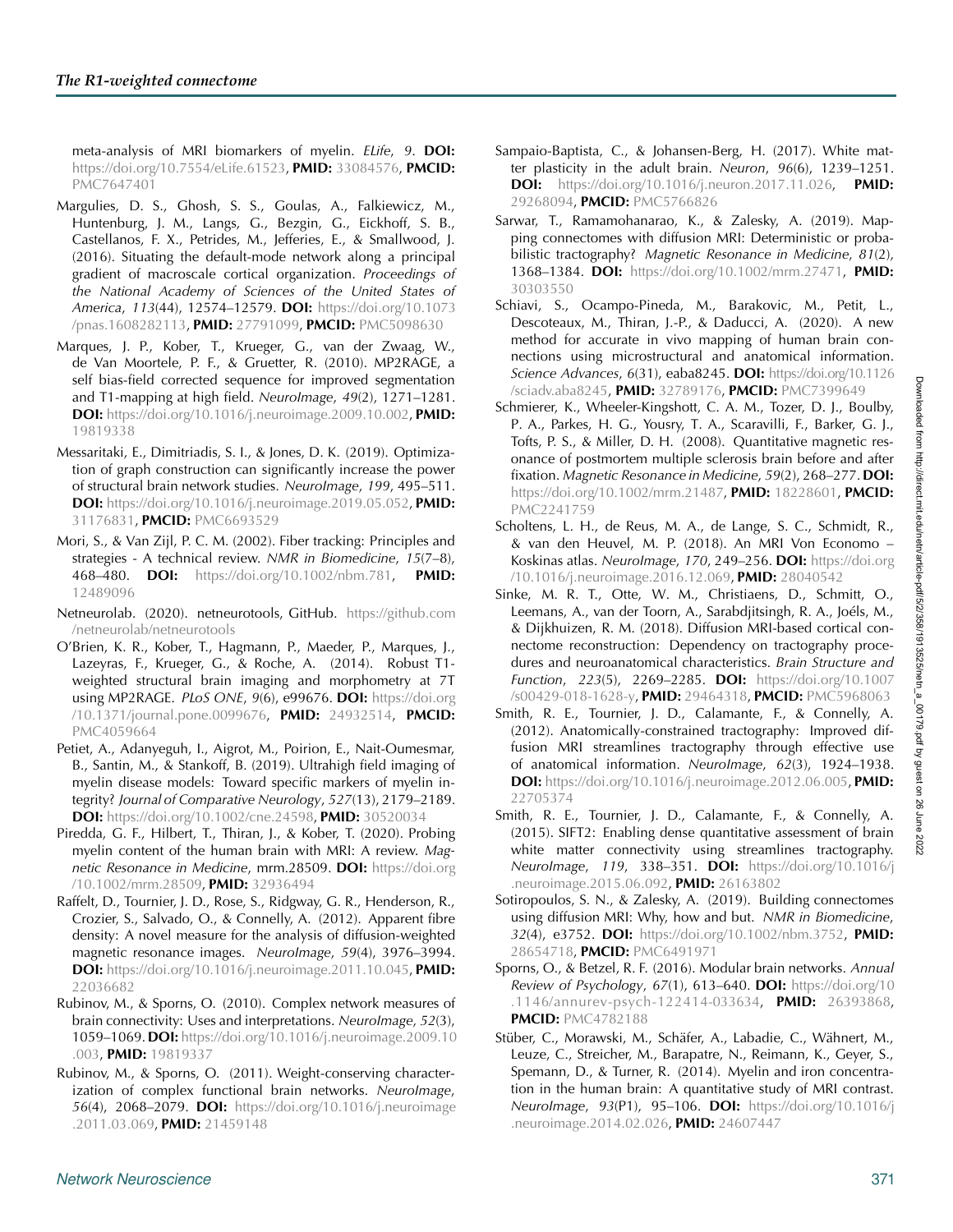meta-analysis of MRI biomarkers of myelin. *ELife*, *9*. **DOI:** [https://doi.org/10.7554/eLife.61523,](https://doi.org/10.7554/eLife.61523) **PMID:** [33084576,](https://europepmc.org/article/MED/33084576) **PMCID:** [PMC7647401](https://www.ncbi.nlm.nih.gov/pmc/articles/PMC7647401)

- <span id="page-13-17"></span>Margulies, D. S., Ghosh, S. S., Goulas, A., Falkiewicz, M., Huntenburg, J. M., Langs, G., Bezgin, G., Eickhoff, S. B., Castellanos, F. X., Petrides, M., Jefferies, E., & Smallwood, J. (2016). Situating the default-mode network along a principal gradient of macroscale cortical organization. *Proceedings of the National Academy of Sciences of the United States of America*, *113*(44), 12574–12579. **DOI:** [https://doi.org/10.1073](https://doi.org/10.1073/pnas.1608282113) [/pnas.1608282113,](https://doi.org/10.1073/pnas.1608282113) **PMID:** [27791099,](https://europepmc.org/article/MED/27791099) **PMCID:** [PMC5098630](https://www.ncbi.nlm.nih.gov/pmc/articles/PMC5098630)
- <span id="page-13-7"></span>Marques, J. P., Kober, T., Krueger, G., van der Zwaag, W., de Van Moortele, P. F., & Gruetter, R. (2010). MP2RAGE, a self bias-field corrected sequence for improved segmentation and T1-mapping at high field. *NeuroImage*, *49*(2), 1271–1281. **DOI:** [https://doi.org/10.1016/j.neuroimage.2009.10.002,](https://doi.org/10.1016/j.neuroimage.2009.10.002) **PMID:** [19819338](https://europepmc.org/article/MED/19819338)
- <span id="page-13-20"></span>Messaritaki, E., Dimitriadis, S. I., & Jones, D. K. (2019). Optimization of graph construction can significantly increase the power of structural brain network studies. *NeuroImage*, *199*, 495–511. **DOI:** [https://doi.org/10.1016/j.neuroimage.2019.05.052,](https://doi.org/10.1016/j.neuroimage.2019.05.052) **PMID:** [31176831,](https://europepmc.org/article/MED/31176831) **PMCID:** [PMC6693529](https://www.ncbi.nlm.nih.gov/pmc/articles/PMC6693529)
- <span id="page-13-1"></span>Mori, S., & Van Zijl, P. C. M. (2002). Fiber tracking: Principles and strategies - A technical review. *NMR in Biomedicine*, *15*(7–8), 468–480. **DOI:** [https://doi.org/10.1002/nbm.781,](https://doi.org/10.1002/nbm.781) **PMID:** [12489096](https://europepmc.org/article/MED/12489096)
- <span id="page-13-14"></span>Netneurolab. (2020). netneurotools, GitHub. [https://github.com](https://github.com/netneurolab/netneurotools) [/netneurolab/netneurotools](https://github.com/netneurolab/netneurotools)
- <span id="page-13-9"></span>O'Brien, K. R., Kober, T., Hagmann, P., Maeder, P., Marques, J., Lazeyras, F., Krueger, G., & Roche, A. (2014). Robust T1 weighted structural brain imaging and morphometry at 7T using MP2RAGE. *PLoS ONE*, *9*(6), e99676. **DOI:** [https://doi.org](https://doi.org/10.1371/journal.pone.0099676) [/10.1371/journal.pone.0099676,](https://doi.org/10.1371/journal.pone.0099676) **PMID:** [24932514,](https://europepmc.org/article/MED/24932514) **PMCID:** [PMC4059664](https://www.ncbi.nlm.nih.gov/pmc/articles/PMC4059664)
- <span id="page-13-18"></span>Petiet, A., Adanyeguh, I., Aigrot, M., Poirion, E., Nait-Oumesmar, B., Santin, M., & Stankoff, B. (2019). Ultrahigh field imaging of myelin disease models: Toward specific markers of myelin integrity? *Journal of Comparative Neurology*, *527*(13), 2179–2189. **DOI:** [https://doi.org/10.1002/cne.24598,](https://doi.org/10.1002/cne.24598) **PMID:** [30520034](https://europepmc.org/article/MED/30520034)
- <span id="page-13-19"></span>Piredda, G. F., Hilbert, T., Thiran, J., & Kober, T. (2020). Probing myelin content of the human brain with MRI: A review. *Magnetic Resonance in Medicine*, mrm.28509. **DOI:** [https://doi.org](https://doi.org/10.1002/mrm.28509) [/10.1002/mrm.28509,](https://doi.org/10.1002/mrm.28509) **PMID:** [32936494](https://europepmc.org/article/MED/32936494)
- <span id="page-13-16"></span>Raffelt, D., Tournier, J. D., Rose, S., Ridgway, G. R., Henderson, R., Crozier, S., Salvado, O., & Connelly, A. (2012). Apparent fibre density: A novel measure for the analysis of diffusion-weighted magnetic resonance images. *NeuroImage*, *59*(4), 3976–3994. **DOI:** [https://doi.org/10.1016/j.neuroimage.2011.10.045,](https://doi.org/10.1016/j.neuroimage.2011.10.045) **PMID:** [22036682](https://europepmc.org/article/MED/22036682)
- <span id="page-13-2"></span>Rubinov, M., & Sporns, O. (2010). Complex network measures of brain connectivity: Uses and interpretations. *NeuroImage*, *52*(3), 1059–1069.**DOI:** [https://doi.org/10.1016/j.neuroimage.2009.10](https://doi.org/10.1016/j.neuroimage.2009.10.003) [.003,](https://doi.org/10.1016/j.neuroimage.2009.10.003) **PMID:** [19819337](https://europepmc.org/article/MED/19819337)
- <span id="page-13-12"></span>Rubinov, M., & Sporns, O. (2011). Weight-conserving characterization of complex functional brain networks. *NeuroImage*, *56*(4), 2068–2079. **DOI:** [https://doi.org/10.1016/j.neuroimage](https://doi.org/10.1016/j.neuroimage.2011.03.069) [.2011.03.069,](https://doi.org/10.1016/j.neuroimage.2011.03.069) **PMID:** [21459148](https://europepmc.org/article/MED/21459148)
- <span id="page-13-4"></span>Sampaio-Baptista, C., & Johansen-Berg, H. (2017). White matter plasticity in the adult brain. *Neuron*, *96*(6), 1239–1251. **DOI:** [https://doi.org/10.1016/j.neuron.2017.11.026,](https://doi.org/10.1016/j.neuron.2017.11.026) **PMID:** [29268094,](https://europepmc.org/article/MED/29268094) **PMCID:** [PMC5766826](https://www.ncbi.nlm.nih.gov/pmc/articles/PMC5766826)
- <span id="page-13-21"></span>Sarwar, T., Ramamohanarao, K., & Zalesky, A. (2019). Mapping connectomes with diffusion MRI: Deterministic or probabilistic tractography? *Magnetic Resonance in Medicine*, *81*(2), 1368–1384. **DOI:** [https://doi.org/10.1002/mrm.27471,](https://doi.org/10.1002/mrm.27471) **PMID:** [30303550](https://europepmc.org/article/MED/30303550)
- <span id="page-13-23"></span>Schiavi, S., Ocampo-Pineda, M., Barakovic, M., Petit, L., Descoteaux, M., Thiran, J.-P., & Daducci, A. (2020). A new method for accurate in vivo mapping of human brain connections using microstructural and anatomical information. *Science Advances*, *6*(31), eaba8245. **DOI:** [https://doi.org/10.1126](https://doi.org/10.1126/sciadv.aba8245) [/sciadv.aba8245,](https://doi.org/10.1126/sciadv.aba8245) **PMID:** [32789176,](https://europepmc.org/article/MED/32789176) **PMCID:** [PMC7399649](https://www.ncbi.nlm.nih.gov/pmc/articles/PMC7399649)
- <span id="page-13-6"></span>Schmierer, K., Wheeler-Kingshott, C. A. M., Tozer, D. J., Boulby, P. A., Parkes, H. G., Yousry, T. A., Scaravilli, F., Barker, G. J., Tofts, P. S., & Miller, D. H. (2008). Quantitative magnetic resonance of postmortem multiple sclerosis brain before and after fixation. *Magnetic Resonance in Medicine*, *59*(2), 268–277.**DOI:** [https://doi.org/10.1002/mrm.21487,](https://doi.org/10.1002/mrm.21487) **PMID:** [18228601,](https://europepmc.org/article/MED/18228601) **PMCID:** [PMC2241759](https://www.ncbi.nlm.nih.gov/pmc/articles/PMC2241759)
- <span id="page-13-15"></span><span id="page-13-0"></span>Scholtens, L. H., de Reus, M. A., de Lange, S. C., Schmidt, R., & van den Heuvel, M. P. (2018). An MRI Von Economo – Koskinas atlas. *NeuroImage*, *170*, 249–256. **DOI:** [https://doi.org](https://doi.org/10.1016/j.neuroimage.2016.12.069) [/10.1016/j.neuroimage.2016.12.069,](https://doi.org/10.1016/j.neuroimage.2016.12.069) **PMID:** [28040542](https://europepmc.org/article/MED/28040542)
- <span id="page-13-8"></span><span id="page-13-3"></span>Sinke, M. R. T., Otte, W. M., Christiaens, D., Schmitt, O., Leemans, A., van der Toorn, A., Sarabdjitsingh, R. A., Joéls, M., & Dijkhuizen, R. M. (2018). Diffusion MRI-based cortical connectome reconstruction: Dependency on tractography procedures and neuroanatomical characteristics. *Brain Structure and Function*, *223*(5), 2269–2285. **DOI:** [https://doi.org/10.1007](https://doi.org/10.1007/s00429-018-1628-y) [/s00429-018-1628-y,](https://doi.org/10.1007/s00429-018-1628-y) **PMID:** [29464318,](https://europepmc.org/article/MED/29464318) **PMCID:** [PMC5968063](https://www.ncbi.nlm.nih.gov/pmc/articles/PMC5968063)
- <span id="page-13-10"></span>Smith, R. E., Tournier, J. D., Calamante, F., & Connelly, A. (2012). Anatomically-constrained tractography: Improved diffusion MRI streamlines tractography through effective use of anatomical information. *NeuroImage*, *62*(3), 1924–1938. **DOI:** [https://doi.org/10.1016/j.neuroimage.2012.06.005,](https://doi.org/10.1016/j.neuroimage.2012.06.005) **PMID:** [22705374](https://europepmc.org/article/MED/22705374)
- <span id="page-13-11"></span>Smith, R. E., Tournier, J. D., Calamante, F., & Connelly, A. (2015). SIFT2: Enabling dense quantitative assessment of brain white matter connectivity using streamlines tractography. *NeuroImage*, *119*, 338–351. **DOI:** [https://doi.org/10.1016/j](https://doi.org/10.1016/j.neuroimage.2015.06.092) [.neuroimage.2015.06.092,](https://doi.org/10.1016/j.neuroimage.2015.06.092) **PMID:** [26163802](https://europepmc.org/article/MED/26163802)
- <span id="page-13-22"></span>Sotiropoulos, S. N., & Zalesky, A. (2019). Building connectomes using diffusion MRI: Why, how and but. *NMR in Biomedicine*, *32*(4), e3752. **DOI:** [https://doi.org/10.1002/nbm.3752,](https://doi.org/10.1002/nbm.3752) **PMID:** [28654718,](https://europepmc.org/article/MED/28654718) **PMCID:** [PMC6491971](https://www.ncbi.nlm.nih.gov/pmc/articles/PMC6491971)
- <span id="page-13-13"></span>Sporns, O., & Betzel, R. F. (2016). Modular brain networks. *Annual Review of Psychology*, *67*(1), 613–640. **DOI:** [https://doi.org/10](https://doi.org/10.1146/annurev-psych-122414-033634) [.1146/annurev-psych-122414-033634,](https://doi.org/10.1146/annurev-psych-122414-033634) **PMID:** [26393868,](https://europepmc.org/article/MED/26393868) **PMCID:** [PMC4782188](https://www.ncbi.nlm.nih.gov/pmc/articles/PMC4782188)
- <span id="page-13-5"></span>Stüber, C., Morawski, M., Schäfer, A., Labadie, C., Wähnert, M., Leuze, C., Streicher, M., Barapatre, N., Reimann, K., Geyer, S., Spemann, D., & Turner, R. (2014). Myelin and iron concentration in the human brain: A quantitative study of MRI contrast. *NeuroImage*, *93*(P1), 95–106. **DOI:** [https://doi.org/10.1016/j](https://doi.org/10.1016/j.neuroimage.2014.02.026) [.neuroimage.2014.02.026,](https://doi.org/10.1016/j.neuroimage.2014.02.026) **PMID:** [24607447](https://europepmc.org/article/MED/24607447)